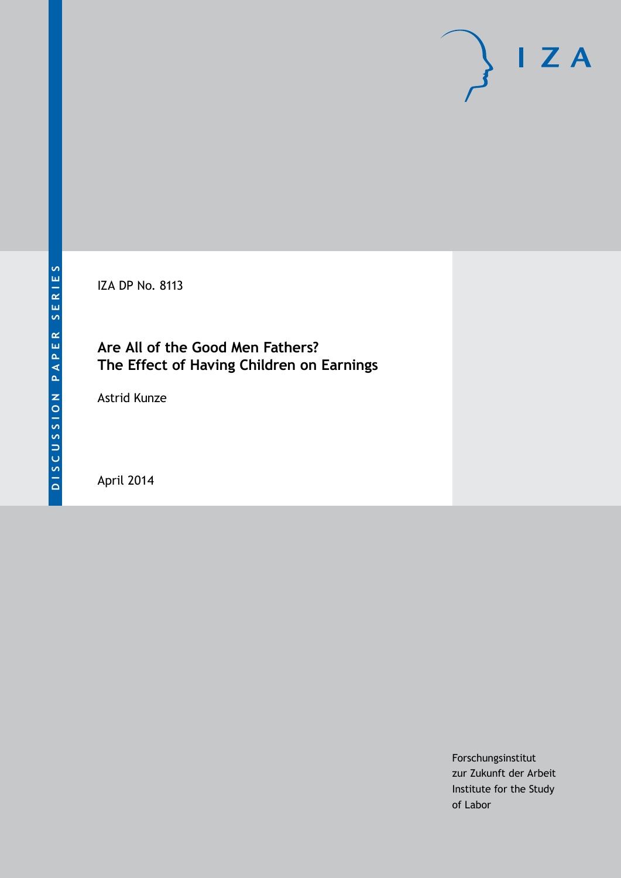

IZA DP No. 8113

## **Are All of the Good Men Fathers? The Effect of Having Children on Earnings**

Astrid Kunze

April 2014

Forschungsinstitut zur Zukunft der Arbeit Institute for the Study of Labor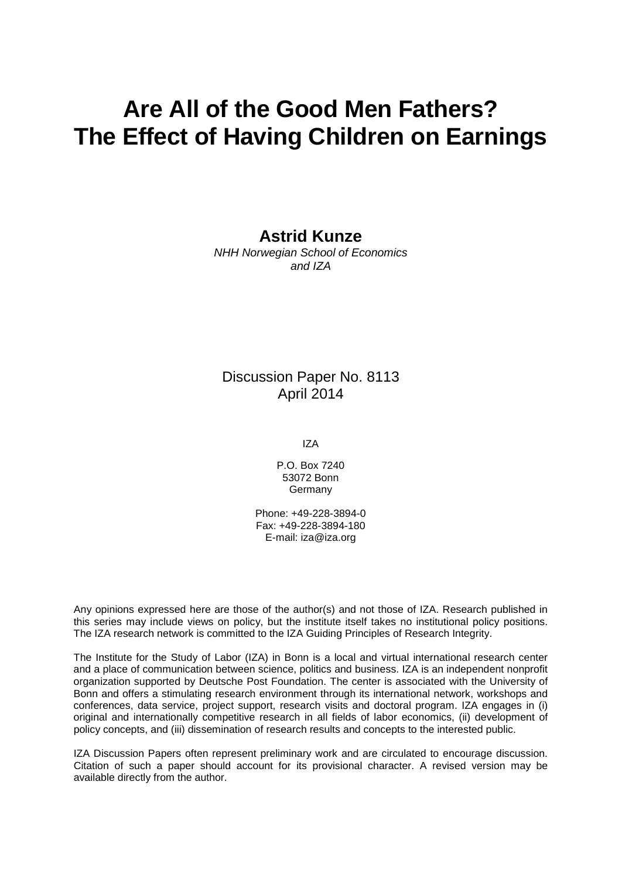# **Are All of the Good Men Fathers? The Effect of Having Children on Earnings**

### **Astrid Kunze**

*NHH Norwegian School of Economics and IZA*

### Discussion Paper No. 8113 April 2014

IZA

P.O. Box 7240 53072 Bonn **Germany** 

Phone: +49-228-3894-0 Fax: +49-228-3894-180 E-mail: [iza@iza.org](mailto:iza@iza.org)

Any opinions expressed here are those of the author(s) and not those of IZA. Research published in this series may include views on policy, but the institute itself takes no institutional policy positions. The IZA research network is committed to the IZA Guiding Principles of Research Integrity.

The Institute for the Study of Labor (IZA) in Bonn is a local and virtual international research center and a place of communication between science, politics and business. IZA is an independent nonprofit organization supported by Deutsche Post Foundation. The center is associated with the University of Bonn and offers a stimulating research environment through its international network, workshops and conferences, data service, project support, research visits and doctoral program. IZA engages in (i) original and internationally competitive research in all fields of labor economics, (ii) development of policy concepts, and (iii) dissemination of research results and concepts to the interested public.

<span id="page-1-0"></span>IZA Discussion Papers often represent preliminary work and are circulated to encourage discussion. Citation of such a paper should account for its provisional character. A revised version may be available directly from the author.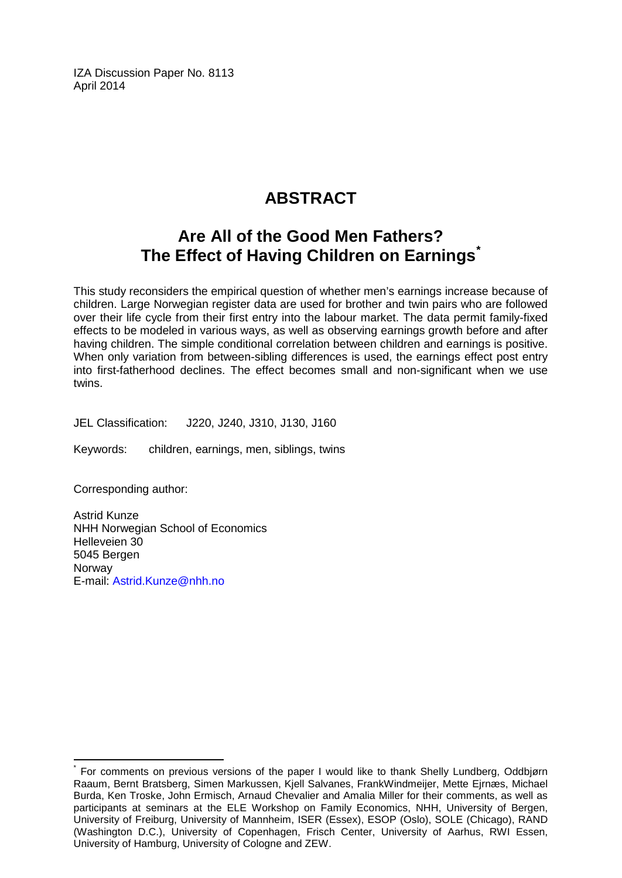IZA Discussion Paper No. 8113 April 2014

# **ABSTRACT**

## **Are All of the Good Men Fathers? The Effect of Having Children on Earnings[\\*](#page-1-0)**

This study reconsiders the empirical question of whether men's earnings increase because of children. Large Norwegian register data are used for brother and twin pairs who are followed over their life cycle from their first entry into the labour market. The data permit family-fixed effects to be modeled in various ways, as well as observing earnings growth before and after having children. The simple conditional correlation between children and earnings is positive. When only variation from between-sibling differences is used, the earnings effect post entry into first-fatherhood declines. The effect becomes small and non-significant when we use twins.

JEL Classification: J220, J240, J310, J130, J160

Keywords: children, earnings, men, siblings, twins

Corresponding author:

Astrid Kunze NHH Norwegian School of Economics Helleveien 30 5045 Bergen **Norway** E-mail: [Astrid.Kunze@nhh.no](mailto:Astrid.Kunze@nhh.no)

For comments on previous versions of the paper I would like to thank Shelly Lundberg, Oddbjørn Raaum, Bernt Bratsberg, Simen Markussen, Kjell Salvanes, FrankWindmeijer, Mette Ejrnæs, Michael Burda, Ken Troske, John Ermisch, Arnaud Chevalier and Amalia Miller for their comments, as well as participants at seminars at the ELE Workshop on Family Economics, NHH, University of Bergen, University of Freiburg, University of Mannheim, ISER (Essex), ESOP (Oslo), SOLE (Chicago), RAND (Washington D.C.), University of Copenhagen, Frisch Center, University of Aarhus, RWI Essen, University of Hamburg, University of Cologne and ZEW.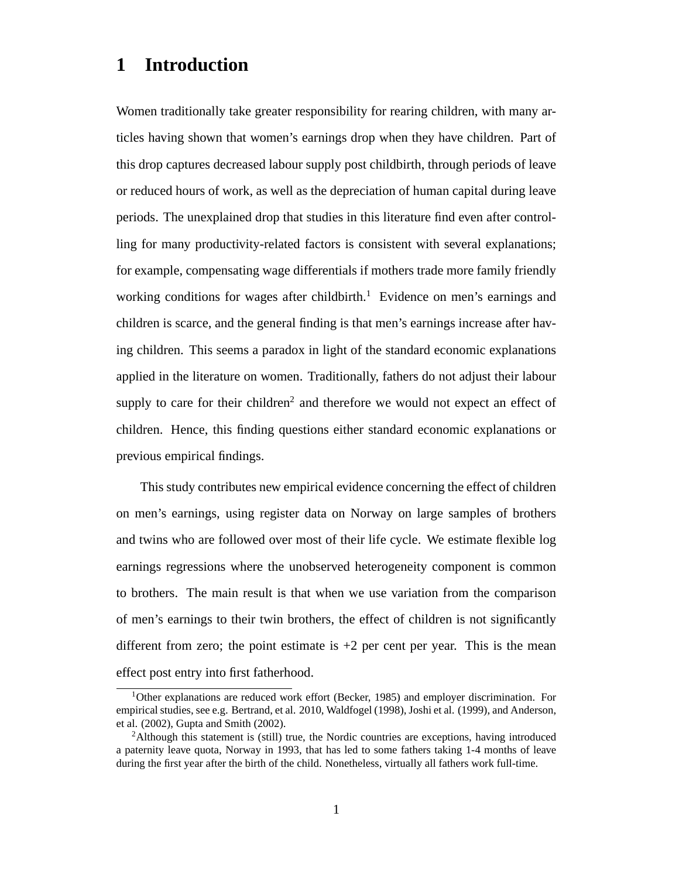## **1 Introduction**

Women traditionally take greater responsibility for rearing children, with many articles having shown that women's earnings drop when they have children. Part of this drop captures decreased labour supply post childbirth, through periods of leave or reduced hours of work, as well as the depreciation of human capital during leave periods. The unexplained drop that studies in this literature find even after controlling for many productivity-related factors is consistent with several explanations; for example, compensating wage differentials if mothers trade more family friendly working conditions for wages after childbirth.<sup>1</sup> Evidence on men's earnings and children is scarce, and the general finding is that men's earnings increase after having children. This seems a paradox in light of the standard economic explanations applied in the literature on women. Traditionally, fathers do not adjust their labour supply to care for their children<sup>2</sup> and therefore we would not expect an effect of children. Hence, this finding questions either standard economic explanations or previous empirical findings.

This study contributes new empirical evidence concerning the effect of children on men's earnings, using register data on Norway on large samples of brothers and twins who are followed over most of their life cycle. We estimate flexible log earnings regressions where the unobserved heterogeneity component is common to brothers. The main result is that when we use variation from the comparison of men's earnings to their twin brothers, the effect of children is not significantly different from zero; the point estimate is  $+2$  per cent per year. This is the mean effect post entry into first fatherhood.

<sup>&</sup>lt;sup>1</sup>Other explanations are reduced work effort (Becker, 1985) and employer discrimination. For empirical studies, see e.g. Bertrand, et al. 2010, Waldfogel (1998), Joshi et al. (1999), and Anderson, et al. (2002), Gupta and Smith (2002).

<sup>&</sup>lt;sup>2</sup>Although this statement is (still) true, the Nordic countries are exceptions, having introduced a paternity leave quota, Norway in 1993, that has led to some fathers taking 1-4 months of leave during the first year after the birth of the child. Nonetheless, virtually all fathers work full-time.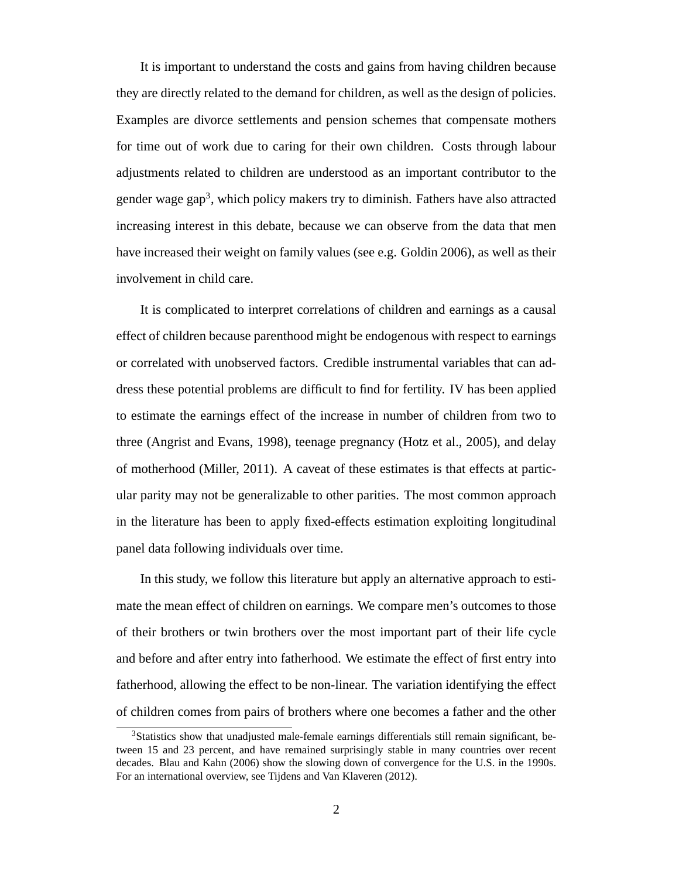It is important to understand the costs and gains from having children because they are directly related to the demand for children, as well as the design of policies. Examples are divorce settlements and pension schemes that compensate mothers for time out of work due to caring for their own children. Costs through labour adjustments related to children are understood as an important contributor to the gender wage gap<sup>3</sup>, which policy makers try to diminish. Fathers have also attracted increasing interest in this debate, because we can observe from the data that men have increased their weight on family values (see e.g. Goldin 2006), as well as their involvement in child care.

It is complicated to interpret correlations of children and earnings as a causal effect of children because parenthood might be endogenous with respect to earnings or correlated with unobserved factors. Credible instrumental variables that can address these potential problems are difficult to find for fertility. IV has been applied to estimate the earnings effect of the increase in number of children from two to three (Angrist and Evans, 1998), teenage pregnancy (Hotz et al., 2005), and delay of motherhood (Miller, 2011). A caveat of these estimates is that effects at particular parity may not be generalizable to other parities. The most common approach in the literature has been to apply fixed-effects estimation exploiting longitudinal panel data following individuals over time.

In this study, we follow this literature but apply an alternative approach to estimate the mean effect of children on earnings. We compare men's outcomes to those of their brothers or twin brothers over the most important part of their life cycle and before and after entry into fatherhood. We estimate the effect of first entry into fatherhood, allowing the effect to be non-linear. The variation identifying the effect of children comes from pairs of brothers where one becomes a father and the other

<sup>&</sup>lt;sup>3</sup>Statistics show that unadjusted male-female earnings differentials still remain significant, between 15 and 23 percent, and have remained surprisingly stable in many countries over recent decades. Blau and Kahn (2006) show the slowing down of convergence for the U.S. in the 1990s. For an international overview, see Tijdens and Van Klaveren (2012).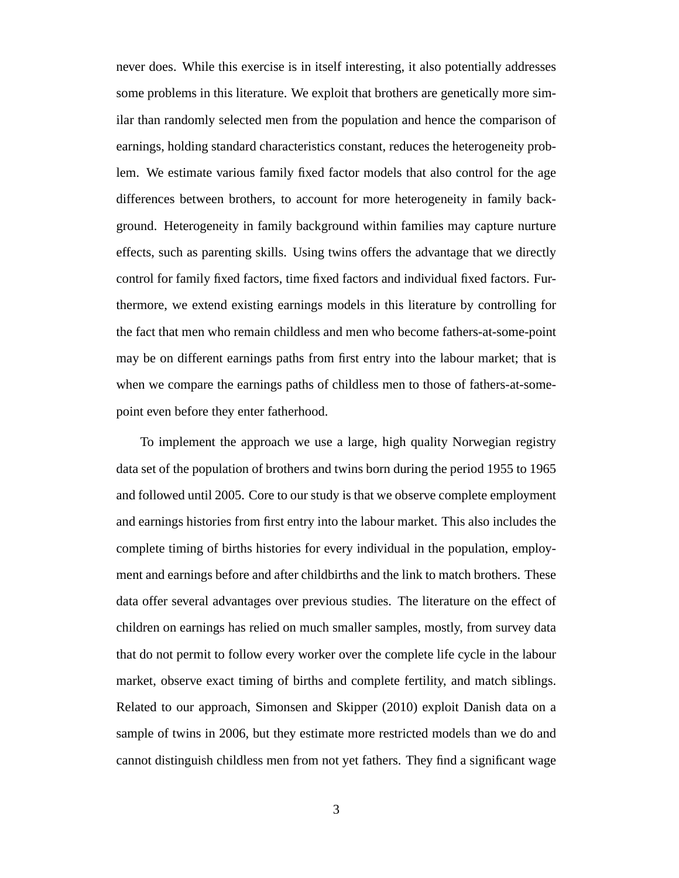never does. While this exercise is in itself interesting, it also potentially addresses some problems in this literature. We exploit that brothers are genetically more similar than randomly selected men from the population and hence the comparison of earnings, holding standard characteristics constant, reduces the heterogeneity problem. We estimate various family fixed factor models that also control for the age differences between brothers, to account for more heterogeneity in family background. Heterogeneity in family background within families may capture nurture effects, such as parenting skills. Using twins offers the advantage that we directly control for family fixed factors, time fixed factors and individual fixed factors. Furthermore, we extend existing earnings models in this literature by controlling for the fact that men who remain childless and men who become fathers-at-some-point may be on different earnings paths from first entry into the labour market; that is when we compare the earnings paths of childless men to those of fathers-at-somepoint even before they enter fatherhood.

To implement the approach we use a large, high quality Norwegian registry data set of the population of brothers and twins born during the period 1955 to 1965 and followed until 2005. Core to our study is that we observe complete employment and earnings histories from first entry into the labour market. This also includes the complete timing of births histories for every individual in the population, employment and earnings before and after childbirths and the link to match brothers. These data offer several advantages over previous studies. The literature on the effect of children on earnings has relied on much smaller samples, mostly, from survey data that do not permit to follow every worker over the complete life cycle in the labour market, observe exact timing of births and complete fertility, and match siblings. Related to our approach, Simonsen and Skipper (2010) exploit Danish data on a sample of twins in 2006, but they estimate more restricted models than we do and cannot distinguish childless men from not yet fathers. They find a significant wage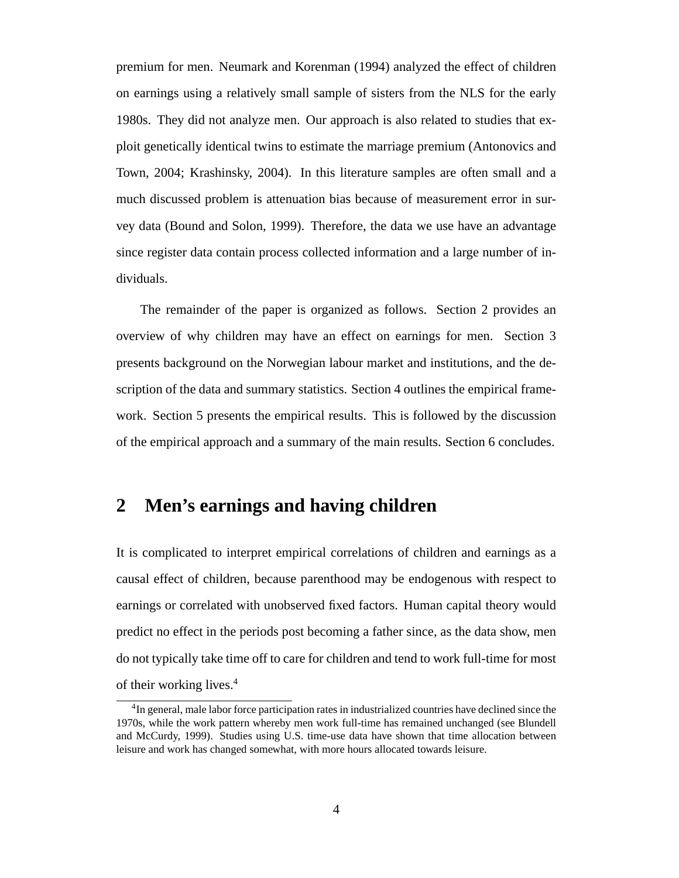premium for men. Neumark and Korenman (1994) analyzed the effect of children on earnings using a relatively small sample of sisters from the NLS for the early 1980s. They did not analyze men. Our approach is also related to studies that exploit genetically identical twins to estimate the marriage premium (Antonovics and Town, 2004; Krashinsky, 2004). In this literature samples are often small and a much discussed problem is attenuation bias because of measurement error in survey data (Bound and Solon, 1999). Therefore, the data we use have an advantage since register data contain process collected information and a large number of individuals.

The remainder of the paper is organized as follows. Section 2 provides an overview of why children may have an effect on earnings for men. Section 3 presents background on the Norwegian labour market and institutions, and the description of the data and summary statistics. Section 4 outlines the empirical framework. Section 5 presents the empirical results. This is followed by the discussion of the empirical approach and a summary of the main results. Section 6 concludes.

## **2 Men's earnings and having children**

It is complicated to interpret empirical correlations of children and earnings as a causal effect of children, because parenthood may be endogenous with respect to earnings or correlated with unobserved fixed factors. Human capital theory would predict no effect in the periods post becoming a father since, as the data show, men do not typically take time off to care for children and tend to work full-time for most of their working lives.<sup>4</sup>

<sup>&</sup>lt;sup>4</sup>In general, male labor force participation rates in industrialized countries have declined since the 1970s, while the work pattern whereby men work full-time has remained unchanged (see Blundell and McCurdy, 1999). Studies using U.S. time-use data have shown that time allocation between leisure and work has changed somewhat, with more hours allocated towards leisure.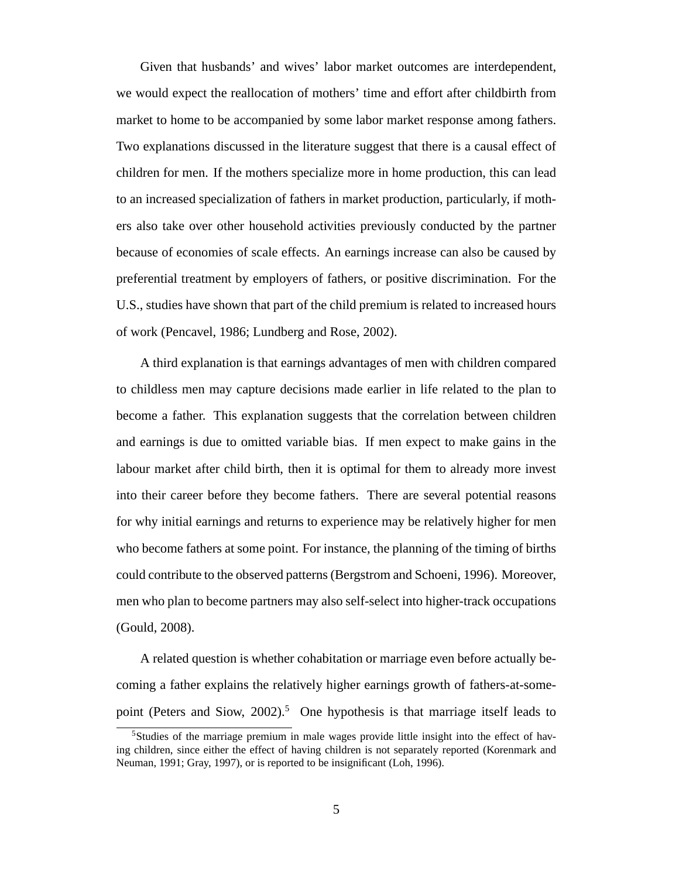Given that husbands' and wives' labor market outcomes are interdependent, we would expect the reallocation of mothers' time and effort after childbirth from market to home to be accompanied by some labor market response among fathers. Two explanations discussed in the literature suggest that there is a causal effect of children for men. If the mothers specialize more in home production, this can lead to an increased specialization of fathers in market production, particularly, if mothers also take over other household activities previously conducted by the partner because of economies of scale effects. An earnings increase can also be caused by preferential treatment by employers of fathers, or positive discrimination. For the U.S., studies have shown that part of the child premium is related to increased hours of work (Pencavel, 1986; Lundberg and Rose, 2002).

A third explanation is that earnings advantages of men with children compared to childless men may capture decisions made earlier in life related to the plan to become a father. This explanation suggests that the correlation between children and earnings is due to omitted variable bias. If men expect to make gains in the labour market after child birth, then it is optimal for them to already more invest into their career before they become fathers. There are several potential reasons for why initial earnings and returns to experience may be relatively higher for men who become fathers at some point. For instance, the planning of the timing of births could contribute to the observed patterns (Bergstrom and Schoeni, 1996). Moreover, men who plan to become partners may also self-select into higher-track occupations (Gould, 2008).

A related question is whether cohabitation or marriage even before actually becoming a father explains the relatively higher earnings growth of fathers-at-somepoint (Peters and Siow, 2002).<sup>5</sup> One hypothesis is that marriage itself leads to

<sup>5</sup>Studies of the marriage premium in male wages provide little insight into the effect of having children, since either the effect of having children is not separately reported (Korenmark and Neuman, 1991; Gray, 1997), or is reported to be insignificant (Loh, 1996).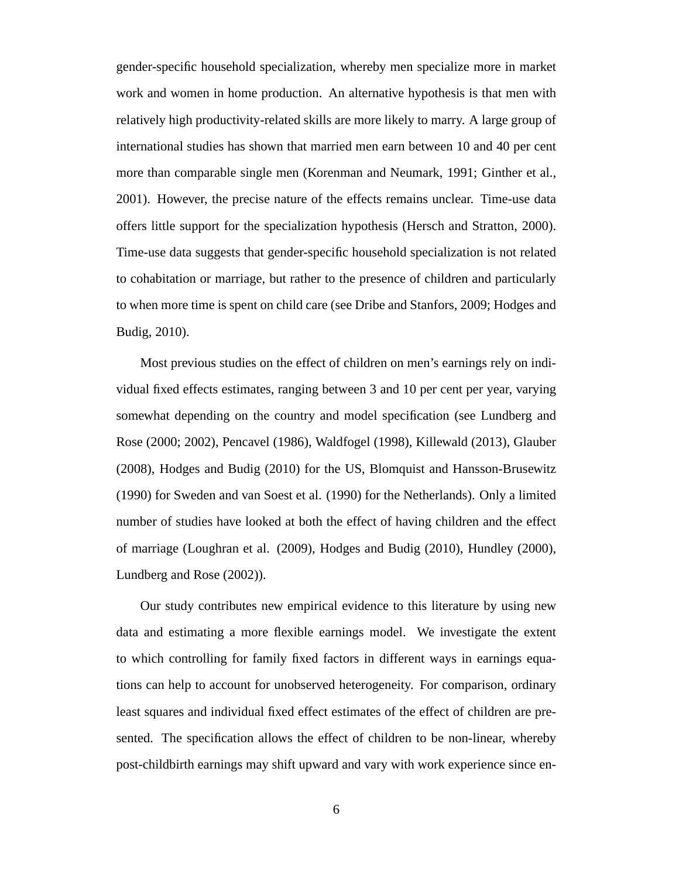gender-specific household specialization, whereby men specialize more in market work and women in home production. An alternative hypothesis is that men with relatively high productivity-related skills are more likely to marry. A large group of international studies has shown that married men earn between 10 and 40 per cent more than comparable single men (Korenman and Neumark, 1991; Ginther et al., 2001). However, the precise nature of the effects remains unclear. Time-use data offers little support for the specialization hypothesis (Hersch and Stratton, 2000). Time-use data suggests that gender-specific household specialization is not related to cohabitation or marriage, but rather to the presence of children and particularly to when more time is spent on child care (see Dribe and Stanfors, 2009; Hodges and Budig, 2010).

Most previous studies on the effect of children on men's earnings rely on individual fixed effects estimates, ranging between 3 and 10 per cent per year, varying somewhat depending on the country and model specification (see Lundberg and Rose (2000; 2002), Pencavel (1986), Waldfogel (1998), Killewald (2013), Glauber (2008), Hodges and Budig (2010) for the US, Blomquist and Hansson-Brusewitz (1990) for Sweden and van Soest et al. (1990) for the Netherlands). Only a limited number of studies have looked at both the effect of having children and the effect of marriage (Loughran et al. (2009), Hodges and Budig (2010), Hundley (2000), Lundberg and Rose (2002)).

Our study contributes new empirical evidence to this literature by using new data and estimating a more flexible earnings model. We investigate the extent to which controlling for family fixed factors in different ways in earnings equations can help to account for unobserved heterogeneity. For comparison, ordinary least squares and individual fixed effect estimates of the effect of children are presented. The specification allows the effect of children to be non-linear, whereby post-childbirth earnings may shift upward and vary with work experience since en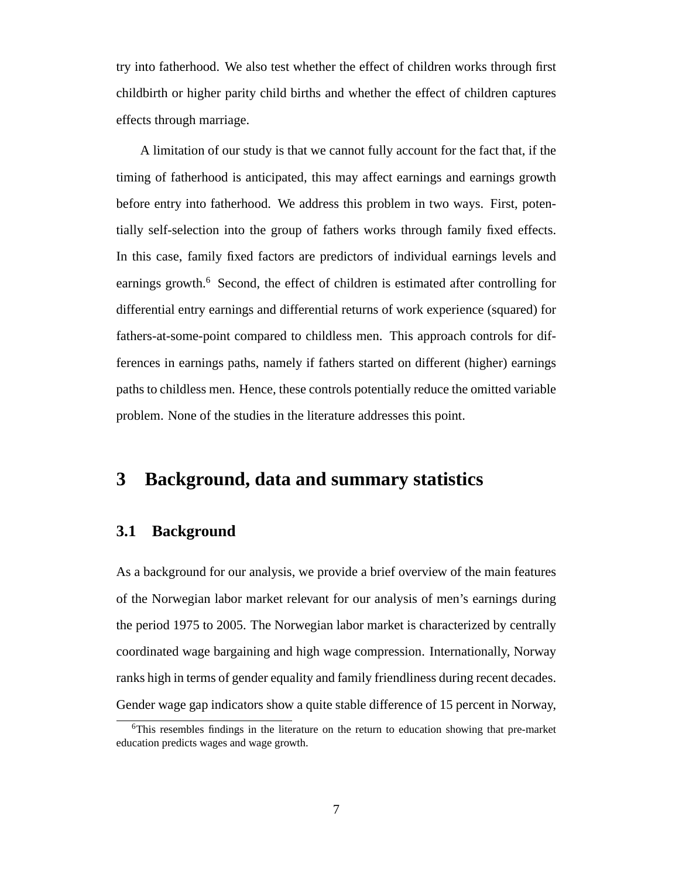try into fatherhood. We also test whether the effect of children works through first childbirth or higher parity child births and whether the effect of children captures effects through marriage.

A limitation of our study is that we cannot fully account for the fact that, if the timing of fatherhood is anticipated, this may affect earnings and earnings growth before entry into fatherhood. We address this problem in two ways. First, potentially self-selection into the group of fathers works through family fixed effects. In this case, family fixed factors are predictors of individual earnings levels and earnings growth.<sup>6</sup> Second, the effect of children is estimated after controlling for differential entry earnings and differential returns of work experience (squared) for fathers-at-some-point compared to childless men. This approach controls for differences in earnings paths, namely if fathers started on different (higher) earnings paths to childless men. Hence, these controls potentially reduce the omitted variable problem. None of the studies in the literature addresses this point.

### **3 Background, data and summary statistics**

#### **3.1 Background**

As a background for our analysis, we provide a brief overview of the main features of the Norwegian labor market relevant for our analysis of men's earnings during the period 1975 to 2005. The Norwegian labor market is characterized by centrally coordinated wage bargaining and high wage compression. Internationally, Norway ranks high in terms of gender equality and family friendliness during recent decades. Gender wage gap indicators show a quite stable difference of 15 percent in Norway,

<sup>6</sup>This resembles findings in the literature on the return to education showing that pre-market education predicts wages and wage growth.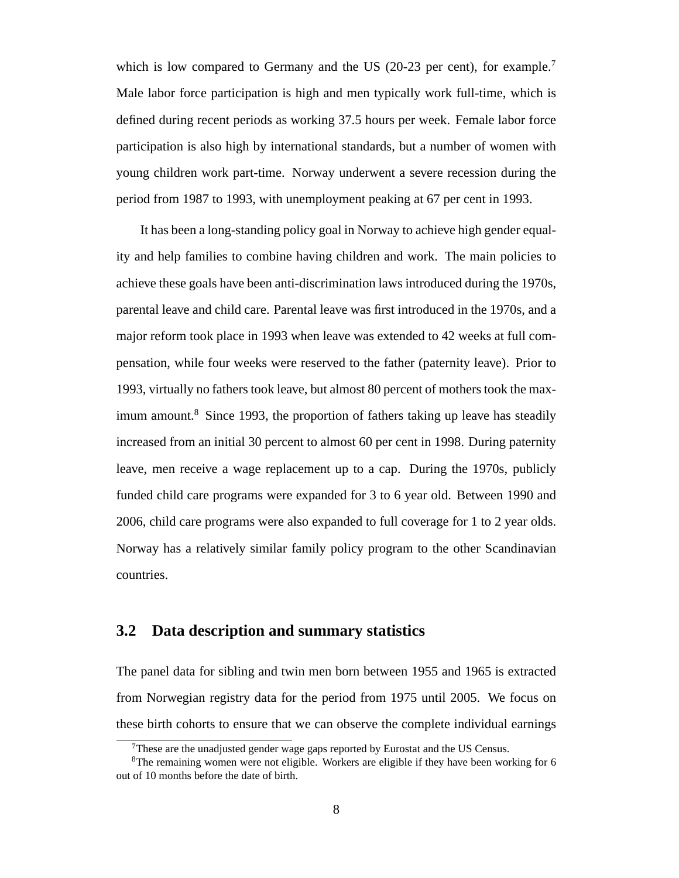which is low compared to Germany and the US (20-23 per cent), for example.<sup>7</sup> Male labor force participation is high and men typically work full-time, which is defined during recent periods as working 37.5 hours per week. Female labor force participation is also high by international standards, but a number of women with young children work part-time. Norway underwent a severe recession during the period from 1987 to 1993, with unemployment peaking at 67 per cent in 1993.

It has been a long-standing policy goal in Norway to achieve high gender equality and help families to combine having children and work. The main policies to achieve these goals have been anti-discrimination laws introduced during the 1970s, parental leave and child care. Parental leave was first introduced in the 1970s, and a major reform took place in 1993 when leave was extended to 42 weeks at full compensation, while four weeks were reserved to the father (paternity leave). Prior to 1993, virtually no fathers took leave, but almost 80 percent of mothers took the maximum amount.<sup>8</sup> Since 1993, the proportion of fathers taking up leave has steadily increased from an initial 30 percent to almost 60 per cent in 1998. During paternity leave, men receive a wage replacement up to a cap. During the 1970s, publicly funded child care programs were expanded for 3 to 6 year old. Between 1990 and 2006, child care programs were also expanded to full coverage for 1 to 2 year olds. Norway has a relatively similar family policy program to the other Scandinavian countries.

### **3.2 Data description and summary statistics**

The panel data for sibling and twin men born between 1955 and 1965 is extracted from Norwegian registry data for the period from 1975 until 2005. We focus on these birth cohorts to ensure that we can observe the complete individual earnings

 $7$ These are the unadjusted gender wage gaps reported by Eurostat and the US Census.

 $8$ The remaining women were not eligible. Workers are eligible if they have been working for 6 out of 10 months before the date of birth.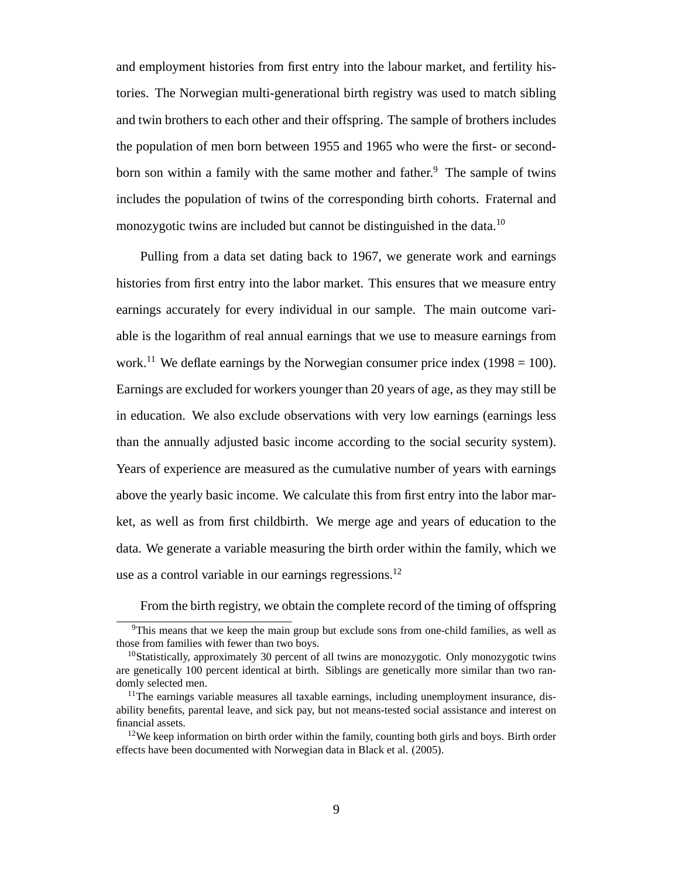and employment histories from first entry into the labour market, and fertility histories. The Norwegian multi-generational birth registry was used to match sibling and twin brothers to each other and their offspring. The sample of brothers includes the population of men born between 1955 and 1965 who were the first- or secondborn son within a family with the same mother and father.<sup>9</sup> The sample of twins includes the population of twins of the corresponding birth cohorts. Fraternal and monozygotic twins are included but cannot be distinguished in the data.<sup>10</sup>

Pulling from a data set dating back to 1967, we generate work and earnings histories from first entry into the labor market. This ensures that we measure entry earnings accurately for every individual in our sample. The main outcome variable is the logarithm of real annual earnings that we use to measure earnings from work.<sup>11</sup> We deflate earnings by the Norwegian consumer price index (1998 = 100). Earnings are excluded for workers younger than 20 years of age, as they may still be in education. We also exclude observations with very low earnings (earnings less than the annually adjusted basic income according to the social security system). Years of experience are measured as the cumulative number of years with earnings above the yearly basic income. We calculate this from first entry into the labor market, as well as from first childbirth. We merge age and years of education to the data. We generate a variable measuring the birth order within the family, which we use as a control variable in our earnings regressions.<sup>12</sup>

From the birth registry, we obtain the complete record of the timing of offspring

<sup>9</sup>This means that we keep the main group but exclude sons from one-child families, as well as those from families with fewer than two boys.

 $10$ Statistically, approximately 30 percent of all twins are monozygotic. Only monozygotic twins are genetically 100 percent identical at birth. Siblings are genetically more similar than two randomly selected men.

 $11$ The earnings variable measures all taxable earnings, including unemployment insurance, disability benefits, parental leave, and sick pay, but not means-tested social assistance and interest on financial assets.

<sup>&</sup>lt;sup>12</sup>We keep information on birth order within the family, counting both girls and boys. Birth order effects have been documented with Norwegian data in Black et al. (2005).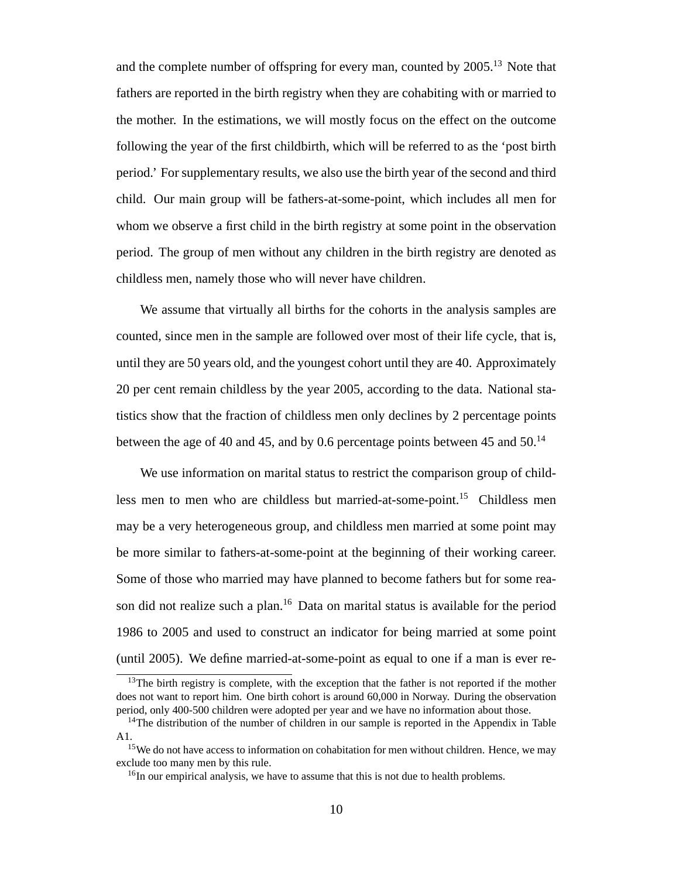and the complete number of offspring for every man, counted by  $2005$ <sup>13</sup>. Note that fathers are reported in the birth registry when they are cohabiting with or married to the mother. In the estimations, we will mostly focus on the effect on the outcome following the year of the first childbirth, which will be referred to as the 'post birth period.' For supplementary results, we also use the birth year of the second and third child. Our main group will be fathers-at-some-point, which includes all men for whom we observe a first child in the birth registry at some point in the observation period. The group of men without any children in the birth registry are denoted as childless men, namely those who will never have children.

We assume that virtually all births for the cohorts in the analysis samples are counted, since men in the sample are followed over most of their life cycle, that is, until they are 50 years old, and the youngest cohort until they are 40. Approximately 20 per cent remain childless by the year 2005, according to the data. National statistics show that the fraction of childless men only declines by 2 percentage points between the age of 40 and 45, and by 0.6 percentage points between 45 and 50.<sup>14</sup>

We use information on marital status to restrict the comparison group of childless men to men who are childless but married-at-some-point.<sup>15</sup> Childless men may be a very heterogeneous group, and childless men married at some point may be more similar to fathers-at-some-point at the beginning of their working career. Some of those who married may have planned to become fathers but for some reason did not realize such a plan.<sup>16</sup> Data on marital status is available for the period 1986 to 2005 and used to construct an indicator for being married at some point (until 2005). We define married-at-some-point as equal to one if a man is ever re-

 $13$ The birth registry is complete, with the exception that the father is not reported if the mother does not want to report him. One birth cohort is around 60,000 in Norway. During the observation period, only 400-500 children were adopted per year and we have no information about those.

 $14$ The distribution of the number of children in our sample is reported in the Appendix in Table A1.

<sup>&</sup>lt;sup>15</sup>We do not have access to information on cohabitation for men without children. Hence, we may exclude too many men by this rule.

 $16$ In our empirical analysis, we have to assume that this is not due to health problems.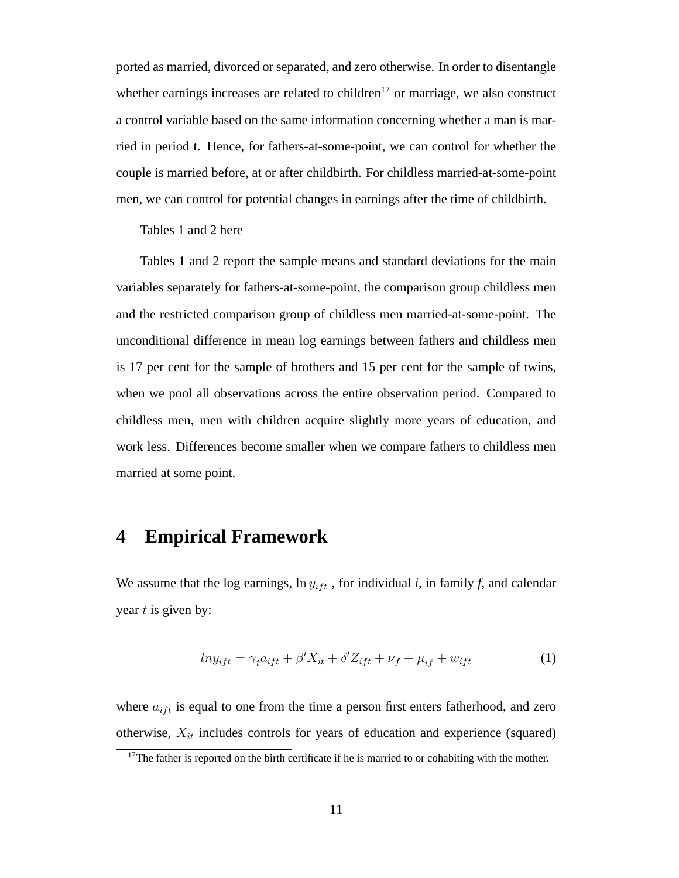ported as married, divorced or separated, and zero otherwise. In order to disentangle whether earnings increases are related to children<sup>17</sup> or marriage, we also construct a control variable based on the same information concerning whether a man is married in period t. Hence, for fathers-at-some-point, we can control for whether the couple is married before, at or after childbirth. For childless married-at-some-point men, we can control for potential changes in earnings after the time of childbirth.

Tables 1 and 2 here

Tables 1 and 2 report the sample means and standard deviations for the main variables separately for fathers-at-some-point, the comparison group childless men and the restricted comparison group of childless men married-at-some-point. The unconditional difference in mean log earnings between fathers and childless men is 17 per cent for the sample of brothers and 15 per cent for the sample of twins, when we pool all observations across the entire observation period. Compared to childless men, men with children acquire slightly more years of education, and work less. Differences become smaller when we compare fathers to childless men married at some point.

### **4 Empirical Framework**

We assume that the log earnings,  $\ln y_{ift}$ , for individual *i*, in family *f*, and calendar year  $t$  is given by:

$$
ln y_{ift} = \gamma_t a_{ift} + \beta' X_{it} + \delta' Z_{ift} + \nu_f + \mu_{if} + w_{ift}
$$
 (1)

where  $a_{ift}$  is equal to one from the time a person first enters fatherhood, and zero otherwise,  $X_{it}$  includes controls for years of education and experience (squared)

<sup>&</sup>lt;sup>17</sup>The father is reported on the birth certificate if he is married to or cohabiting with the mother.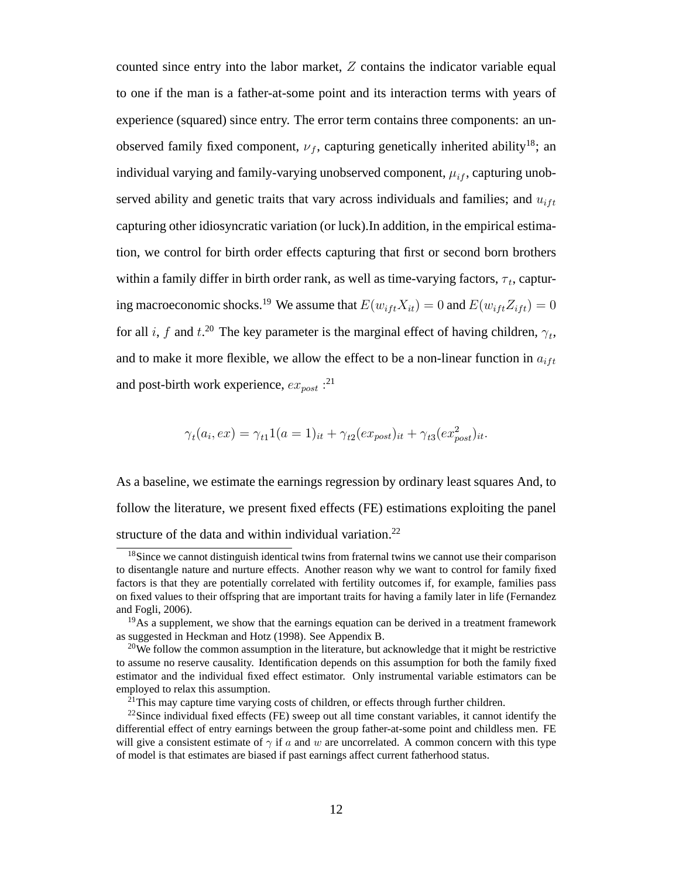counted since entry into the labor market, Z contains the indicator variable equal to one if the man is a father-at-some point and its interaction terms with years of experience (squared) since entry. The error term contains three components: an unobserved family fixed component,  $\nu_f$ , capturing genetically inherited ability<sup>18</sup>; an individual varying and family-varying unobserved component,  $\mu_{if}$ , capturing unobserved ability and genetic traits that vary across individuals and families; and  $u_{i\ell t}$ capturing other idiosyncratic variation (or luck).In addition, in the empirical estimation, we control for birth order effects capturing that first or second born brothers within a family differ in birth order rank, as well as time-varying factors,  $\tau_t$ , capturing macroeconomic shocks.<sup>19</sup> We assume that  $E(w_{i\,} X_{i\,t}) = 0$  and  $E(w_{i\,t\,t} Z_{i\,t\,t}) = 0$ for all *i*, *f* and *t*.<sup>20</sup> The key parameter is the marginal effect of having children,  $\gamma_t$ , and to make it more flexible, we allow the effect to be a non-linear function in  $a_{ift}$ and post-birth work experience,  $ex_{post}$  :<sup>21</sup>

$$
\gamma_t(a_i, ex) = \gamma_{t1} 1(a=1)_{it} + \gamma_{t2}(ex_{post})_{it} + \gamma_{t3}(ex_{post}^2)_{it}.
$$

As a baseline, we estimate the earnings regression by ordinary least squares And, to follow the literature, we present fixed effects (FE) estimations exploiting the panel structure of the data and within individual variation.<sup>22</sup>

<sup>&</sup>lt;sup>18</sup>Since we cannot distinguish identical twins from fraternal twins we cannot use their comparison to disentangle nature and nurture effects. Another reason why we want to control for family fixed factors is that they are potentially correlated with fertility outcomes if, for example, families pass on fixed values to their offspring that are important traits for having a family later in life (Fernandez and Fogli, 2006).

 $19\text{As}$  a supplement, we show that the earnings equation can be derived in a treatment framework as suggested in Heckman and Hotz (1998). See Appendix B.

<sup>&</sup>lt;sup>20</sup>We follow the common assumption in the literature, but acknowledge that it might be restrictive to assume no reserve causality. Identification depends on this assumption for both the family fixed estimator and the individual fixed effect estimator. Only instrumental variable estimators can be employed to relax this assumption.

 $^{21}$ This may capture time varying costs of children, or effects through further children.

 $^{22}$ Since individual fixed effects (FE) sweep out all time constant variables, it cannot identify the differential effect of entry earnings between the group father-at-some point and childless men. FE will give a consistent estimate of  $\gamma$  if a and w are uncorrelated. A common concern with this type of model is that estimates are biased if past earnings affect current fatherhood status.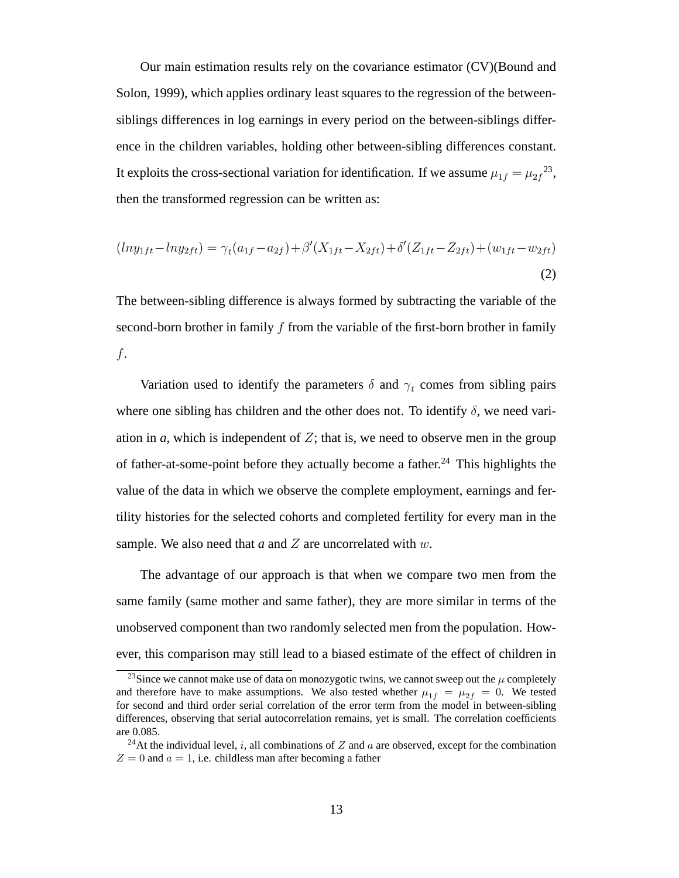Our main estimation results rely on the covariance estimator (CV)(Bound and Solon, 1999), which applies ordinary least squares to the regression of the betweensiblings differences in log earnings in every period on the between-siblings difference in the children variables, holding other between-sibling differences constant. It exploits the cross-sectional variation for identification. If we assume  $\mu_{1f} = \mu_{2f}^{23}$ , then the transformed regression can be written as:

$$
(ln y_{1ft} - ln y_{2ft}) = \gamma_t (a_{1f} - a_{2f}) + \beta'(X_{1ft} - X_{2ft}) + \delta'(Z_{1ft} - Z_{2ft}) + (w_{1ft} - w_{2ft})
$$
\n(2)

The between-sibling difference is always formed by subtracting the variable of the second-born brother in family f from the variable of the first-born brother in family f.

Variation used to identify the parameters  $\delta$  and  $\gamma_t$  comes from sibling pairs where one sibling has children and the other does not. To identify  $\delta$ , we need variation in  $a$ , which is independent of  $Z$ ; that is, we need to observe men in the group of father-at-some-point before they actually become a father.<sup>24</sup> This highlights the value of the data in which we observe the complete employment, earnings and fertility histories for the selected cohorts and completed fertility for every man in the sample. We also need that *a* and *Z* are uncorrelated with *w*.

The advantage of our approach is that when we compare two men from the same family (same mother and same father), they are more similar in terms of the unobserved component than two randomly selected men from the population. However, this comparison may still lead to a biased estimate of the effect of children in

<sup>&</sup>lt;sup>23</sup>Since we cannot make use of data on monozygotic twins, we cannot sweep out the  $\mu$  completely and therefore have to make assumptions. We also tested whether  $\mu_{1f} = \mu_{2f} = 0$ . We tested for second and third order serial correlation of the error term from the model in between-sibling differences, observing that serial autocorrelation remains, yet is small. The correlation coefficients are 0.085.

<sup>&</sup>lt;sup>24</sup>At the individual level, i, all combinations of Z and a are observed, except for the combination  $Z = 0$  and  $a = 1$ , i.e. childless man after becoming a father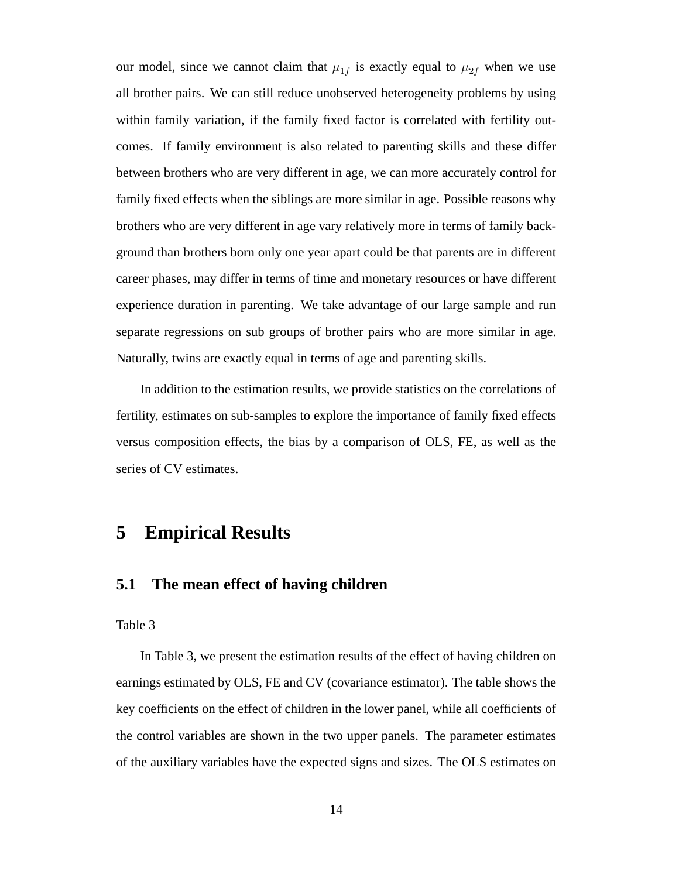our model, since we cannot claim that  $\mu_{1f}$  is exactly equal to  $\mu_{2f}$  when we use all brother pairs. We can still reduce unobserved heterogeneity problems by using within family variation, if the family fixed factor is correlated with fertility outcomes. If family environment is also related to parenting skills and these differ between brothers who are very different in age, we can more accurately control for family fixed effects when the siblings are more similar in age. Possible reasons why brothers who are very different in age vary relatively more in terms of family background than brothers born only one year apart could be that parents are in different career phases, may differ in terms of time and monetary resources or have different experience duration in parenting. We take advantage of our large sample and run separate regressions on sub groups of brother pairs who are more similar in age. Naturally, twins are exactly equal in terms of age and parenting skills.

In addition to the estimation results, we provide statistics on the correlations of fertility, estimates on sub-samples to explore the importance of family fixed effects versus composition effects, the bias by a comparison of OLS, FE, as well as the series of CV estimates.

## **5 Empirical Results**

### **5.1 The mean effect of having children**

Table 3

In Table 3, we present the estimation results of the effect of having children on earnings estimated by OLS, FE and CV (covariance estimator). The table shows the key coefficients on the effect of children in the lower panel, while all coefficients of the control variables are shown in the two upper panels. The parameter estimates of the auxiliary variables have the expected signs and sizes. The OLS estimates on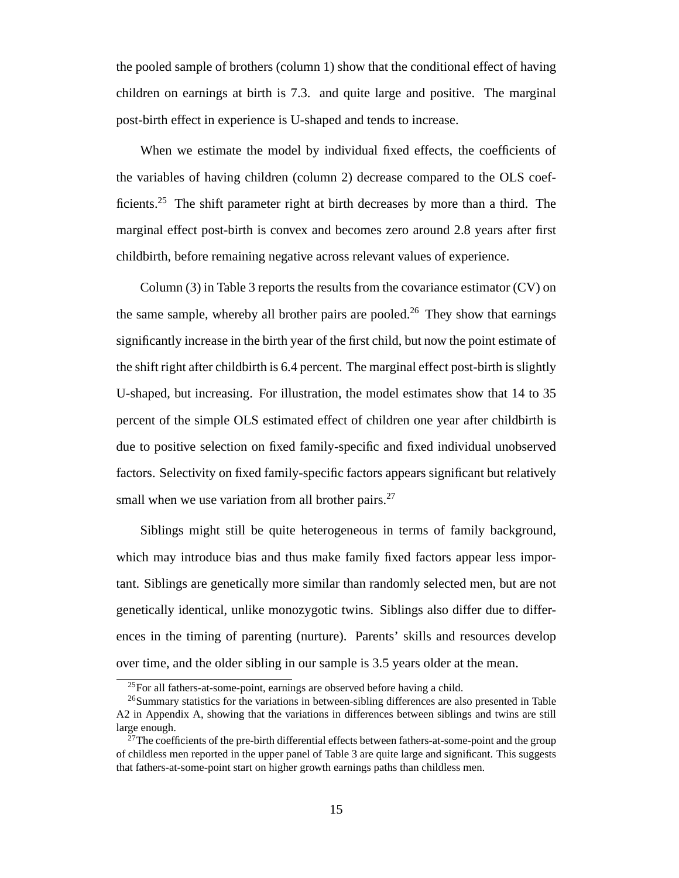the pooled sample of brothers (column 1) show that the conditional effect of having children on earnings at birth is 7.3. and quite large and positive. The marginal post-birth effect in experience is U-shaped and tends to increase.

When we estimate the model by individual fixed effects, the coefficients of the variables of having children (column 2) decrease compared to the OLS coefficients.<sup>25</sup> The shift parameter right at birth decreases by more than a third. The marginal effect post-birth is convex and becomes zero around 2.8 years after first childbirth, before remaining negative across relevant values of experience.

Column (3) in Table 3 reports the results from the covariance estimator (CV) on the same sample, whereby all brother pairs are pooled.<sup>26</sup> They show that earnings significantly increase in the birth year of the first child, but now the point estimate of the shift right after childbirth is 6.4 percent. The marginal effect post-birth is slightly U-shaped, but increasing. For illustration, the model estimates show that 14 to 35 percent of the simple OLS estimated effect of children one year after childbirth is due to positive selection on fixed family-specific and fixed individual unobserved factors. Selectivity on fixed family-specific factors appears significant but relatively small when we use variation from all brother pairs.<sup>27</sup>

Siblings might still be quite heterogeneous in terms of family background, which may introduce bias and thus make family fixed factors appear less important. Siblings are genetically more similar than randomly selected men, but are not genetically identical, unlike monozygotic twins. Siblings also differ due to differences in the timing of parenting (nurture). Parents' skills and resources develop over time, and the older sibling in our sample is 3.5 years older at the mean.

<sup>25</sup>For all fathers-at-some-point, earnings are observed before having a child.

<sup>26</sup>Summary statistics for the variations in between-sibling differences are also presented in Table A2 in Appendix A, showing that the variations in differences between siblings and twins are still large enough.

<sup>&</sup>lt;sup>27</sup>The coefficients of the pre-birth differential effects between fathers-at-some-point and the group of childless men reported in the upper panel of Table 3 are quite large and significant. This suggests that fathers-at-some-point start on higher growth earnings paths than childless men.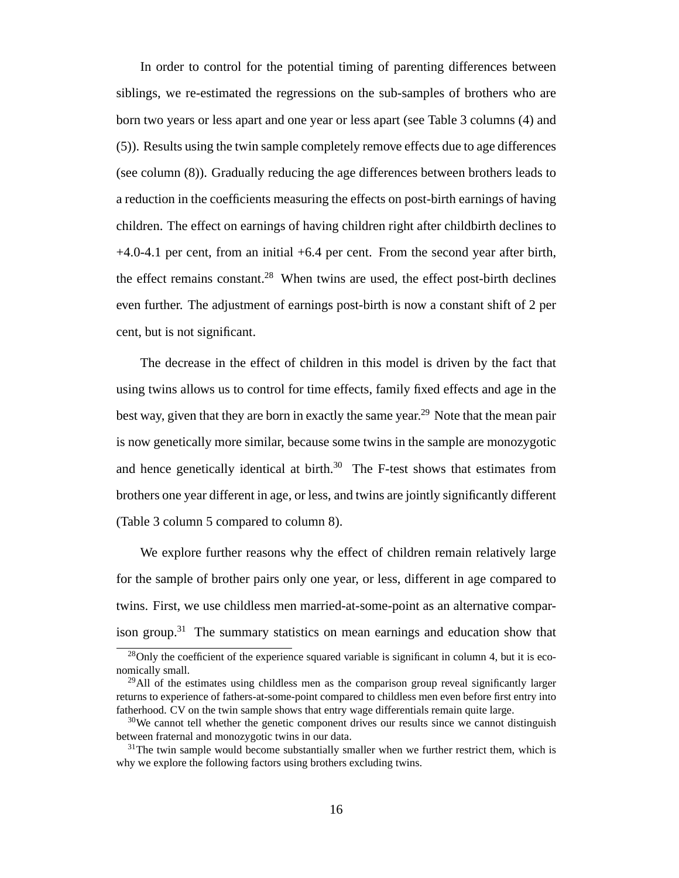In order to control for the potential timing of parenting differences between siblings, we re-estimated the regressions on the sub-samples of brothers who are born two years or less apart and one year or less apart (see Table 3 columns (4) and (5)). Results using the twin sample completely remove effects due to age differences (see column (8)). Gradually reducing the age differences between brothers leads to a reduction in the coefficients measuring the effects on post-birth earnings of having children. The effect on earnings of having children right after childbirth declines to +4.0-4.1 per cent, from an initial +6.4 per cent. From the second year after birth, the effect remains constant.<sup>28</sup> When twins are used, the effect post-birth declines even further. The adjustment of earnings post-birth is now a constant shift of 2 per cent, but is not significant.

The decrease in the effect of children in this model is driven by the fact that using twins allows us to control for time effects, family fixed effects and age in the best way, given that they are born in exactly the same year.<sup>29</sup> Note that the mean pair is now genetically more similar, because some twins in the sample are monozygotic and hence genetically identical at birth. $30$  The F-test shows that estimates from brothers one year different in age, or less, and twins are jointly significantly different (Table 3 column 5 compared to column 8).

We explore further reasons why the effect of children remain relatively large for the sample of brother pairs only one year, or less, different in age compared to twins. First, we use childless men married-at-some-point as an alternative comparison group.<sup>31</sup> The summary statistics on mean earnings and education show that

 $28$ Only the coefficient of the experience squared variable is significant in column 4, but it is economically small.

 $29$ All of the estimates using childless men as the comparison group reveal significantly larger returns to experience of fathers-at-some-point compared to childless men even before first entry into fatherhood. CV on the twin sample shows that entry wage differentials remain quite large.

 $30$ We cannot tell whether the genetic component drives our results since we cannot distinguish between fraternal and monozygotic twins in our data.

 $31$ The twin sample would become substantially smaller when we further restrict them, which is why we explore the following factors using brothers excluding twins.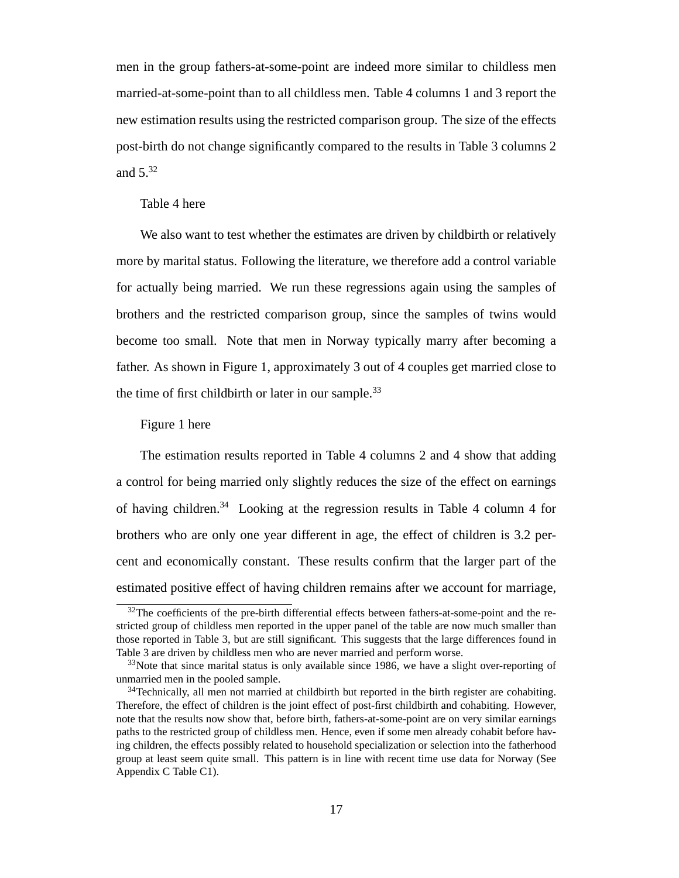men in the group fathers-at-some-point are indeed more similar to childless men married-at-some-point than to all childless men. Table 4 columns 1 and 3 report the new estimation results using the restricted comparison group. The size of the effects post-birth do not change significantly compared to the results in Table 3 columns 2 and 5.<sup>32</sup>

#### Table 4 here

We also want to test whether the estimates are driven by childbirth or relatively more by marital status. Following the literature, we therefore add a control variable for actually being married. We run these regressions again using the samples of brothers and the restricted comparison group, since the samples of twins would become too small. Note that men in Norway typically marry after becoming a father. As shown in Figure 1, approximately 3 out of 4 couples get married close to the time of first childbirth or later in our sample.<sup>33</sup>

#### Figure 1 here

The estimation results reported in Table 4 columns 2 and 4 show that adding a control for being married only slightly reduces the size of the effect on earnings of having children.<sup>34</sup> Looking at the regression results in Table 4 column 4 for brothers who are only one year different in age, the effect of children is 3.2 percent and economically constant. These results confirm that the larger part of the estimated positive effect of having children remains after we account for marriage,

 $32$ The coefficients of the pre-birth differential effects between fathers-at-some-point and the restricted group of childless men reported in the upper panel of the table are now much smaller than those reported in Table 3, but are still significant. This suggests that the large differences found in Table 3 are driven by childless men who are never married and perform worse.

<sup>&</sup>lt;sup>33</sup>Note that since marital status is only available since 1986, we have a slight over-reporting of unmarried men in the pooled sample.

<sup>&</sup>lt;sup>34</sup>Technically, all men not married at childbirth but reported in the birth register are cohabiting. Therefore, the effect of children is the joint effect of post-first childbirth and cohabiting. However, note that the results now show that, before birth, fathers-at-some-point are on very similar earnings paths to the restricted group of childless men. Hence, even if some men already cohabit before having children, the effects possibly related to household specialization or selection into the fatherhood group at least seem quite small. This pattern is in line with recent time use data for Norway (See Appendix C Table C1).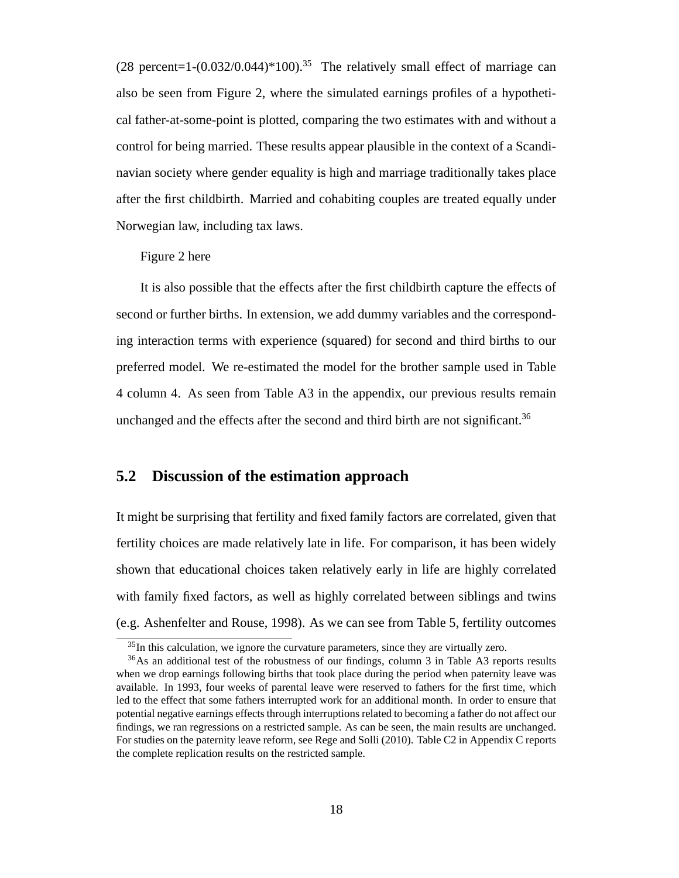$(28 \text{ percent} = 1 - (0.032/0.044) * 100).$ <sup>35</sup> The relatively small effect of marriage can also be seen from Figure 2, where the simulated earnings profiles of a hypothetical father-at-some-point is plotted, comparing the two estimates with and without a control for being married. These results appear plausible in the context of a Scandinavian society where gender equality is high and marriage traditionally takes place after the first childbirth. Married and cohabiting couples are treated equally under Norwegian law, including tax laws.

Figure 2 here

It is also possible that the effects after the first childbirth capture the effects of second or further births. In extension, we add dummy variables and the corresponding interaction terms with experience (squared) for second and third births to our preferred model. We re-estimated the model for the brother sample used in Table 4 column 4. As seen from Table A3 in the appendix, our previous results remain unchanged and the effects after the second and third birth are not significant.<sup>36</sup>

### **5.2 Discussion of the estimation approach**

It might be surprising that fertility and fixed family factors are correlated, given that fertility choices are made relatively late in life. For comparison, it has been widely shown that educational choices taken relatively early in life are highly correlated with family fixed factors, as well as highly correlated between siblings and twins (e.g. Ashenfelter and Rouse, 1998). As we can see from Table 5, fertility outcomes

<sup>35</sup>In this calculation, we ignore the curvature parameters, since they are virtually zero.

<sup>&</sup>lt;sup>36</sup>As an additional test of the robustness of our findings, column 3 in Table A3 reports results when we drop earnings following births that took place during the period when paternity leave was available. In 1993, four weeks of parental leave were reserved to fathers for the first time, which led to the effect that some fathers interrupted work for an additional month. In order to ensure that potential negative earnings effects through interruptions related to becoming a father do not affect our findings, we ran regressions on a restricted sample. As can be seen, the main results are unchanged. For studies on the paternity leave reform, see Rege and Solli (2010). Table C2 in Appendix C reports the complete replication results on the restricted sample.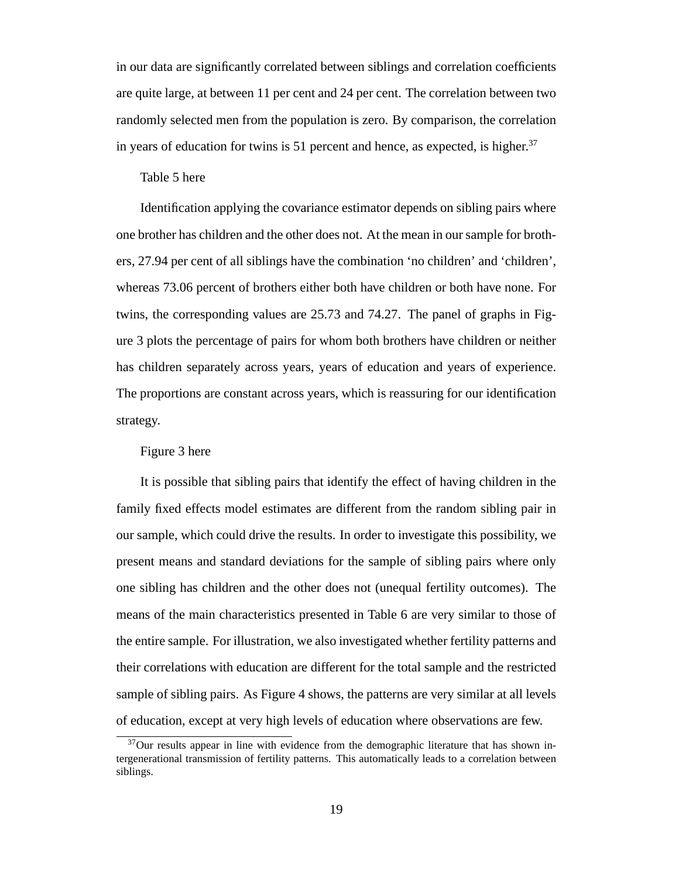in our data are significantly correlated between siblings and correlation coefficients are quite large, at between 11 per cent and 24 per cent. The correlation between two randomly selected men from the population is zero. By comparison, the correlation in years of education for twins is 51 percent and hence, as expected, is higher. $37$ 

#### Table 5 here

Identification applying the covariance estimator depends on sibling pairs where one brother has children and the other does not. At the mean in our sample for brothers, 27.94 per cent of all siblings have the combination 'no children' and 'children', whereas 73.06 percent of brothers either both have children or both have none. For twins, the corresponding values are 25.73 and 74.27. The panel of graphs in Figure 3 plots the percentage of pairs for whom both brothers have children or neither has children separately across years, years of education and years of experience. The proportions are constant across years, which is reassuring for our identification strategy.

#### Figure 3 here

It is possible that sibling pairs that identify the effect of having children in the family fixed effects model estimates are different from the random sibling pair in our sample, which could drive the results. In order to investigate this possibility, we present means and standard deviations for the sample of sibling pairs where only one sibling has children and the other does not (unequal fertility outcomes). The means of the main characteristics presented in Table 6 are very similar to those of the entire sample. For illustration, we also investigated whether fertility patterns and their correlations with education are different for the total sample and the restricted sample of sibling pairs. As Figure 4 shows, the patterns are very similar at all levels of education, except at very high levels of education where observations are few.

<sup>&</sup>lt;sup>37</sup>Our results appear in line with evidence from the demographic literature that has shown intergenerational transmission of fertility patterns. This automatically leads to a correlation between siblings.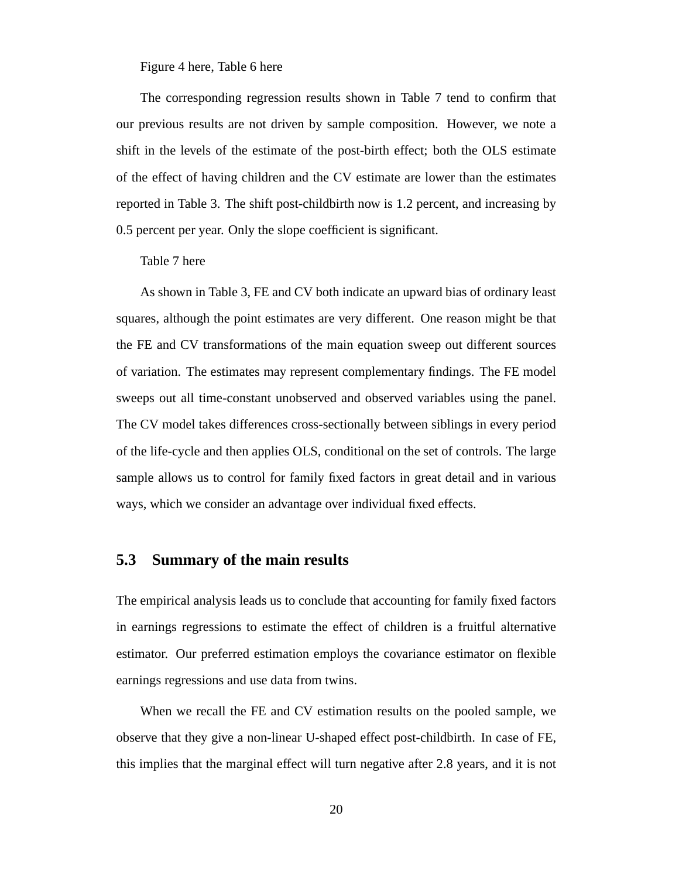Figure 4 here, Table 6 here

The corresponding regression results shown in Table 7 tend to confirm that our previous results are not driven by sample composition. However, we note a shift in the levels of the estimate of the post-birth effect; both the OLS estimate of the effect of having children and the CV estimate are lower than the estimates reported in Table 3. The shift post-childbirth now is 1.2 percent, and increasing by 0.5 percent per year. Only the slope coefficient is significant.

Table 7 here

As shown in Table 3, FE and CV both indicate an upward bias of ordinary least squares, although the point estimates are very different. One reason might be that the FE and CV transformations of the main equation sweep out different sources of variation. The estimates may represent complementary findings. The FE model sweeps out all time-constant unobserved and observed variables using the panel. The CV model takes differences cross-sectionally between siblings in every period of the life-cycle and then applies OLS, conditional on the set of controls. The large sample allows us to control for family fixed factors in great detail and in various ways, which we consider an advantage over individual fixed effects.

### **5.3 Summary of the main results**

The empirical analysis leads us to conclude that accounting for family fixed factors in earnings regressions to estimate the effect of children is a fruitful alternative estimator. Our preferred estimation employs the covariance estimator on flexible earnings regressions and use data from twins.

When we recall the FE and CV estimation results on the pooled sample, we observe that they give a non-linear U-shaped effect post-childbirth. In case of FE, this implies that the marginal effect will turn negative after 2.8 years, and it is not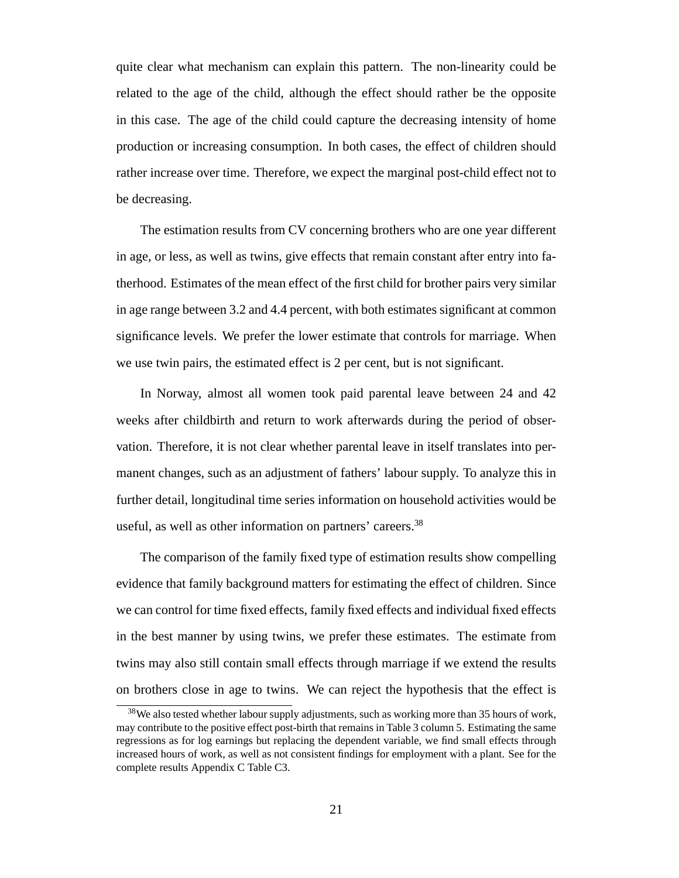quite clear what mechanism can explain this pattern. The non-linearity could be related to the age of the child, although the effect should rather be the opposite in this case. The age of the child could capture the decreasing intensity of home production or increasing consumption. In both cases, the effect of children should rather increase over time. Therefore, we expect the marginal post-child effect not to be decreasing.

The estimation results from CV concerning brothers who are one year different in age, or less, as well as twins, give effects that remain constant after entry into fatherhood. Estimates of the mean effect of the first child for brother pairs very similar in age range between 3.2 and 4.4 percent, with both estimates significant at common significance levels. We prefer the lower estimate that controls for marriage. When we use twin pairs, the estimated effect is 2 per cent, but is not significant.

In Norway, almost all women took paid parental leave between 24 and 42 weeks after childbirth and return to work afterwards during the period of observation. Therefore, it is not clear whether parental leave in itself translates into permanent changes, such as an adjustment of fathers' labour supply. To analyze this in further detail, longitudinal time series information on household activities would be useful, as well as other information on partners' careers.<sup>38</sup>

The comparison of the family fixed type of estimation results show compelling evidence that family background matters for estimating the effect of children. Since we can control for time fixed effects, family fixed effects and individual fixed effects in the best manner by using twins, we prefer these estimates. The estimate from twins may also still contain small effects through marriage if we extend the results on brothers close in age to twins. We can reject the hypothesis that the effect is

<sup>&</sup>lt;sup>38</sup>We also tested whether labour supply adjustments, such as working more than 35 hours of work, may contribute to the positive effect post-birth that remains in Table 3 column 5. Estimating the same regressions as for log earnings but replacing the dependent variable, we find small effects through increased hours of work, as well as not consistent findings for employment with a plant. See for the complete results Appendix C Table C3.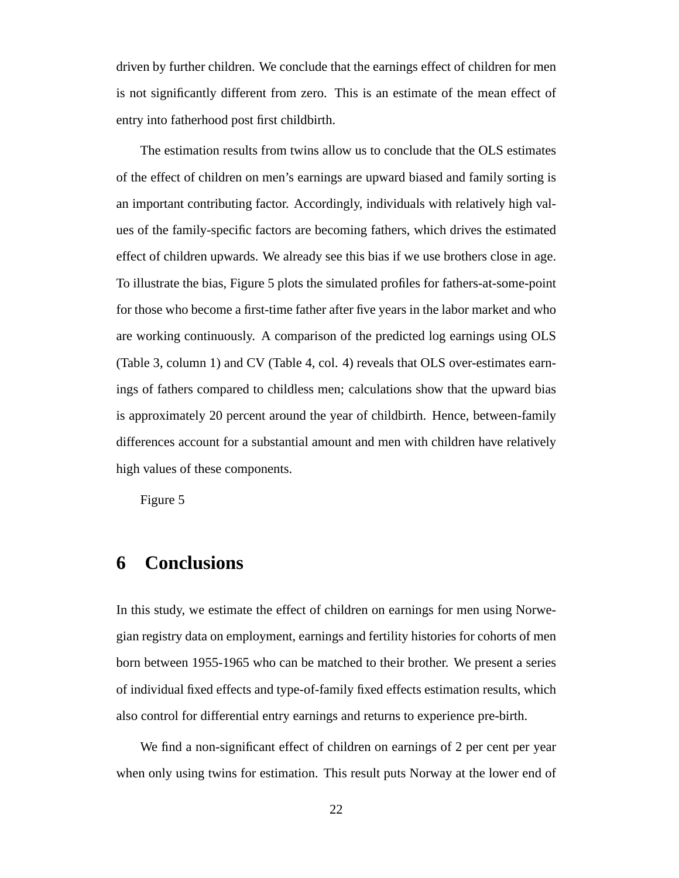driven by further children. We conclude that the earnings effect of children for men is not significantly different from zero. This is an estimate of the mean effect of entry into fatherhood post first childbirth.

The estimation results from twins allow us to conclude that the OLS estimates of the effect of children on men's earnings are upward biased and family sorting is an important contributing factor. Accordingly, individuals with relatively high values of the family-specific factors are becoming fathers, which drives the estimated effect of children upwards. We already see this bias if we use brothers close in age. To illustrate the bias, Figure 5 plots the simulated profiles for fathers-at-some-point for those who become a first-time father after five years in the labor market and who are working continuously. A comparison of the predicted log earnings using OLS (Table 3, column 1) and CV (Table 4, col. 4) reveals that OLS over-estimates earnings of fathers compared to childless men; calculations show that the upward bias is approximately 20 percent around the year of childbirth. Hence, between-family differences account for a substantial amount and men with children have relatively high values of these components.

Figure 5

## **6 Conclusions**

In this study, we estimate the effect of children on earnings for men using Norwegian registry data on employment, earnings and fertility histories for cohorts of men born between 1955-1965 who can be matched to their brother. We present a series of individual fixed effects and type-of-family fixed effects estimation results, which also control for differential entry earnings and returns to experience pre-birth.

We find a non-significant effect of children on earnings of 2 per cent per year when only using twins for estimation. This result puts Norway at the lower end of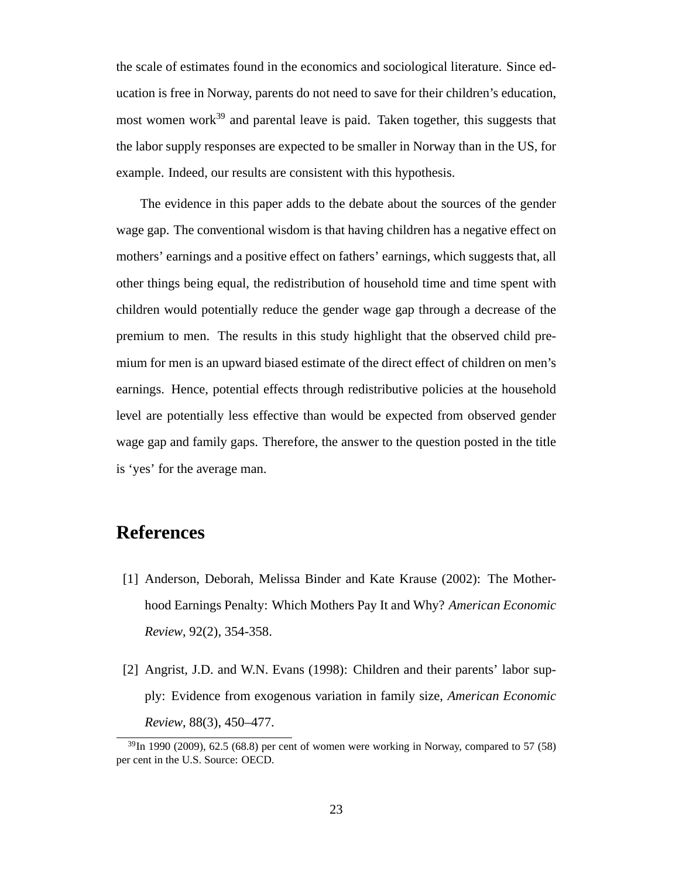the scale of estimates found in the economics and sociological literature. Since education is free in Norway, parents do not need to save for their children's education, most women work<sup>39</sup> and parental leave is paid. Taken together, this suggests that the labor supply responses are expected to be smaller in Norway than in the US, for example. Indeed, our results are consistent with this hypothesis.

The evidence in this paper adds to the debate about the sources of the gender wage gap. The conventional wisdom is that having children has a negative effect on mothers' earnings and a positive effect on fathers' earnings, which suggests that, all other things being equal, the redistribution of household time and time spent with children would potentially reduce the gender wage gap through a decrease of the premium to men. The results in this study highlight that the observed child premium for men is an upward biased estimate of the direct effect of children on men's earnings. Hence, potential effects through redistributive policies at the household level are potentially less effective than would be expected from observed gender wage gap and family gaps. Therefore, the answer to the question posted in the title is 'yes' for the average man.

## **References**

- [1] Anderson, Deborah, Melissa Binder and Kate Krause (2002): The Motherhood Earnings Penalty: Which Mothers Pay It and Why? *American Economic Review*, 92(2), 354-358.
- [2] Angrist, J.D. and W.N. Evans (1998): Children and their parents' labor supply: Evidence from exogenous variation in family size, *American Economic Review*, 88(3), 450–477.

 $^{39}$ In 1990 (2009), 62.5 (68.8) per cent of women were working in Norway, compared to 57 (58) per cent in the U.S. Source: OECD.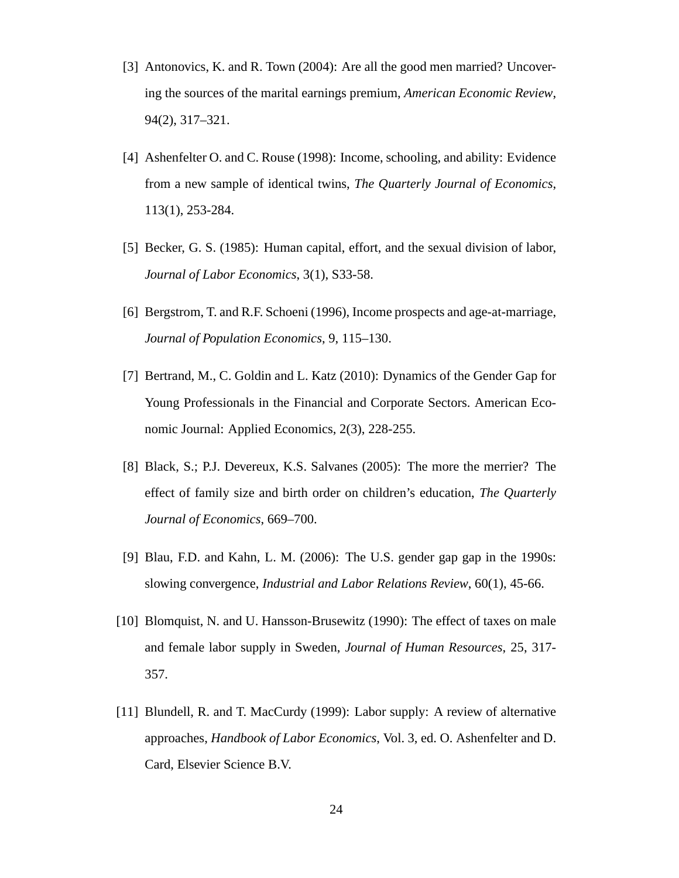- [3] Antonovics, K. and R. Town (2004): Are all the good men married? Uncovering the sources of the marital earnings premium, *American Economic Review*, 94(2), 317–321.
- [4] Ashenfelter O. and C. Rouse (1998): Income, schooling, and ability: Evidence from a new sample of identical twins, *The Quarterly Journal of Economics*, 113(1), 253-284.
- [5] Becker, G. S. (1985): Human capital, effort, and the sexual division of labor, *Journal of Labor Economics*, 3(1), S33-58.
- [6] Bergstrom, T. and R.F. Schoeni (1996), Income prospects and age-at-marriage, *Journal of Population Economics*, 9, 115–130.
- [7] Bertrand, M., C. Goldin and L. Katz (2010): Dynamics of the Gender Gap for Young Professionals in the Financial and Corporate Sectors. American Economic Journal: Applied Economics, 2(3), 228-255.
- [8] Black, S.; P.J. Devereux, K.S. Salvanes (2005): The more the merrier? The effect of family size and birth order on children's education, *The Quarterly Journal of Economics*, 669–700.
- [9] Blau, F.D. and Kahn, L. M. (2006): The U.S. gender gap gap in the 1990s: slowing convergence, *Industrial and Labor Relations Review*, 60(1), 45-66.
- [10] Blomquist, N. and U. Hansson-Brusewitz (1990): The effect of taxes on male and female labor supply in Sweden, *Journal of Human Resources*, 25, 317- 357.
- [11] Blundell, R. and T. MacCurdy (1999): Labor supply: A review of alternative approaches, *Handbook of Labor Economics*, Vol. 3, ed. O. Ashenfelter and D. Card, Elsevier Science B.V.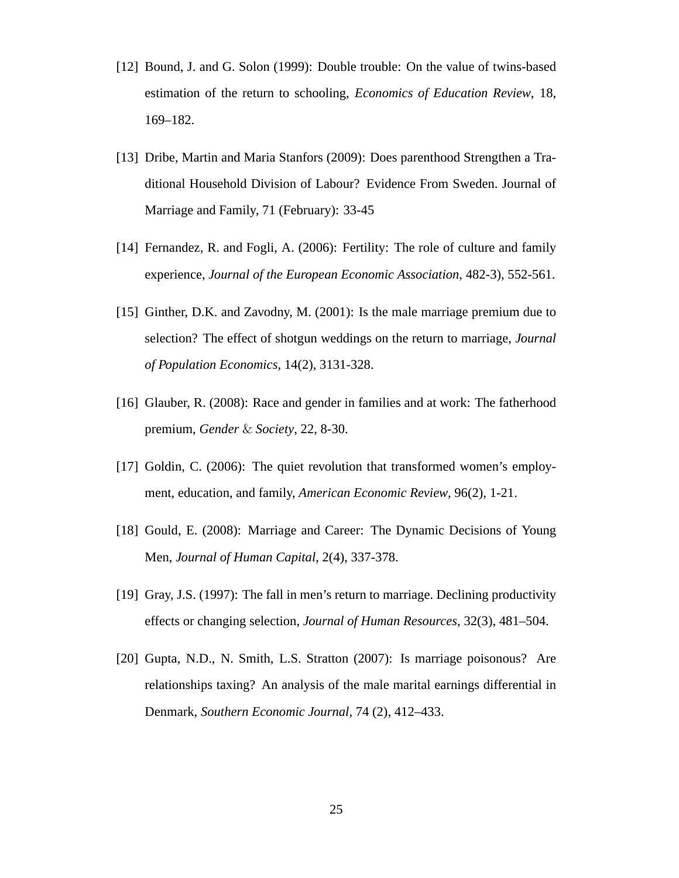- [12] Bound, J. and G. Solon (1999): Double trouble: On the value of twins-based estimation of the return to schooling, *Economics of Education Review*, 18, 169–182.
- [13] Dribe, Martin and Maria Stanfors (2009): Does parenthood Strengthen a Traditional Household Division of Labour? Evidence From Sweden. Journal of Marriage and Family, 71 (February): 33-45
- [14] Fernandez, R. and Fogli, A. (2006): Fertility: The role of culture and family experience, *Journal of the European Economic Association*, 482-3), 552-561.
- [15] Ginther, D.K. and Zavodny, M. (2001): Is the male marriage premium due to selection? The effect of shotgun weddings on the return to marriage, *Journal of Population Economics*, 14(2), 3131-328.
- [16] Glauber, R. (2008): Race and gender in families and at work: The fatherhood premium, *Gender* & *Society*, 22, 8-30.
- [17] Goldin, C. (2006): The quiet revolution that transformed women's employment, education, and family, *American Economic Review*, 96(2), 1-21.
- [18] Gould, E. (2008): Marriage and Career: The Dynamic Decisions of Young Men, *Journal of Human Capital*, 2(4), 337-378.
- [19] Gray, J.S. (1997): The fall in men's return to marriage. Declining productivity effects or changing selection, *Journal of Human Resources*, 32(3), 481–504.
- [20] Gupta, N.D., N. Smith, L.S. Stratton (2007): Is marriage poisonous? Are relationships taxing? An analysis of the male marital earnings differential in Denmark, *Southern Economic Journal*, 74 (2), 412–433.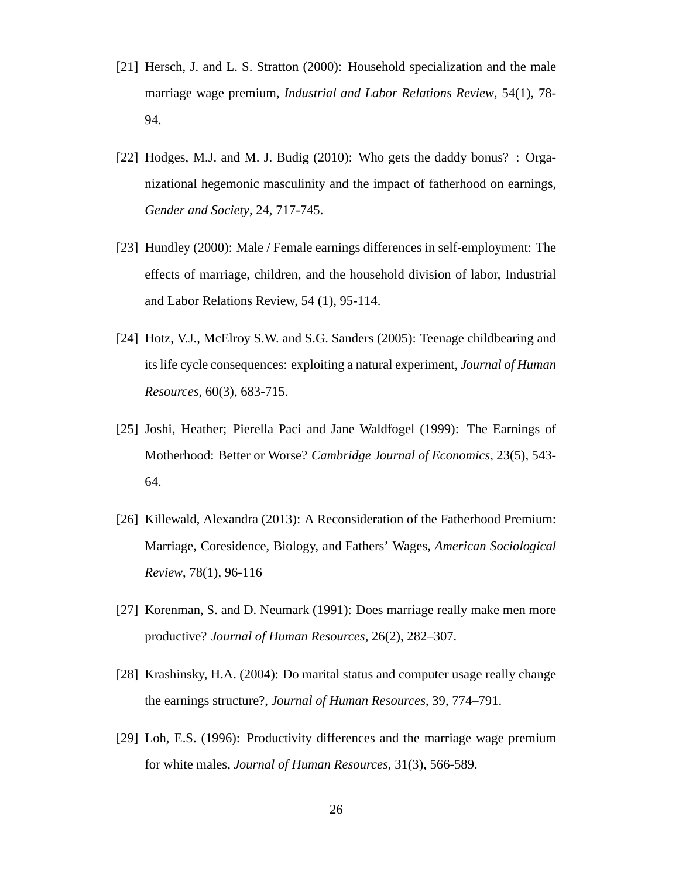- [21] Hersch, J. and L. S. Stratton (2000): Household specialization and the male marriage wage premium, *Industrial and Labor Relations Review*, 54(1), 78- 94.
- [22] Hodges, M.J. and M. J. Budig (2010): Who gets the daddy bonus? : Organizational hegemonic masculinity and the impact of fatherhood on earnings, *Gender and Society*, 24, 717-745.
- [23] Hundley (2000): Male / Female earnings differences in self-employment: The effects of marriage, children, and the household division of labor, Industrial and Labor Relations Review, 54 (1), 95-114.
- [24] Hotz, V.J., McElroy S.W. and S.G. Sanders (2005): Teenage childbearing and its life cycle consequences: exploiting a natural experiment, *Journal of Human Resources*, 60(3), 683-715.
- [25] Joshi, Heather; Pierella Paci and Jane Waldfogel (1999): The Earnings of Motherhood: Better or Worse? *Cambridge Journal of Economics*, 23(5), 543- 64.
- [26] Killewald, Alexandra (2013): A Reconsideration of the Fatherhood Premium: Marriage, Coresidence, Biology, and Fathers' Wages, *American Sociological Review*, 78(1), 96-116
- [27] Korenman, S. and D. Neumark (1991): Does marriage really make men more productive? *Journal of Human Resources*, 26(2), 282–307.
- [28] Krashinsky, H.A. (2004): Do marital status and computer usage really change the earnings structure?, *Journal of Human Resources*, 39, 774–791.
- [29] Loh, E.S. (1996): Productivity differences and the marriage wage premium for white males, *Journal of Human Resources*, 31(3), 566-589.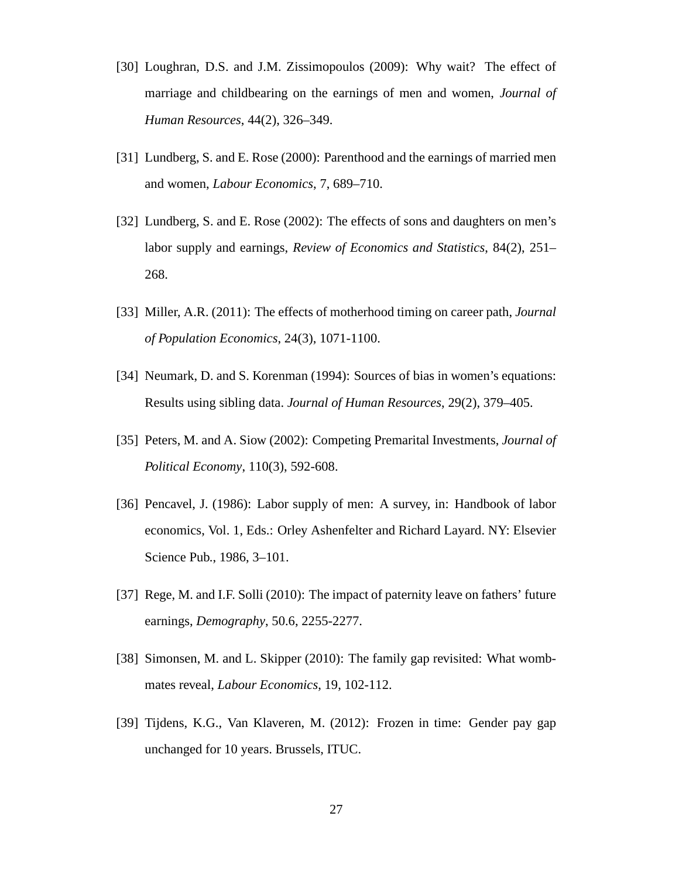- [30] Loughran, D.S. and J.M. Zissimopoulos (2009): Why wait? The effect of marriage and childbearing on the earnings of men and women, *Journal of Human Resources*, 44(2), 326–349.
- [31] Lundberg, S. and E. Rose (2000): Parenthood and the earnings of married men and women, *Labour Economics*, 7, 689–710.
- [32] Lundberg, S. and E. Rose (2002): The effects of sons and daughters on men's labor supply and earnings, *Review of Economics and Statistics*, 84(2), 251– 268.
- [33] Miller, A.R. (2011): The effects of motherhood timing on career path, *Journal of Population Economics*, 24(3), 1071-1100.
- [34] Neumark, D. and S. Korenman (1994): Sources of bias in women's equations: Results using sibling data. *Journal of Human Resources*, 29(2), 379–405.
- [35] Peters, M. and A. Siow (2002): Competing Premarital Investments, *Journal of Political Economy*, 110(3), 592-608.
- [36] Pencavel, J. (1986): Labor supply of men: A survey, in: Handbook of labor economics, Vol. 1, Eds.: Orley Ashenfelter and Richard Layard. NY: Elsevier Science Pub., 1986, 3–101.
- [37] Rege, M. and I.F. Solli (2010): The impact of paternity leave on fathers' future earnings, *Demography*, 50.6, 2255-2277.
- [38] Simonsen, M. and L. Skipper (2010): The family gap revisited: What wombmates reveal, *Labour Economics*, 19, 102-112.
- [39] Tijdens, K.G., Van Klaveren, M. (2012): Frozen in time: Gender pay gap unchanged for 10 years. Brussels, ITUC.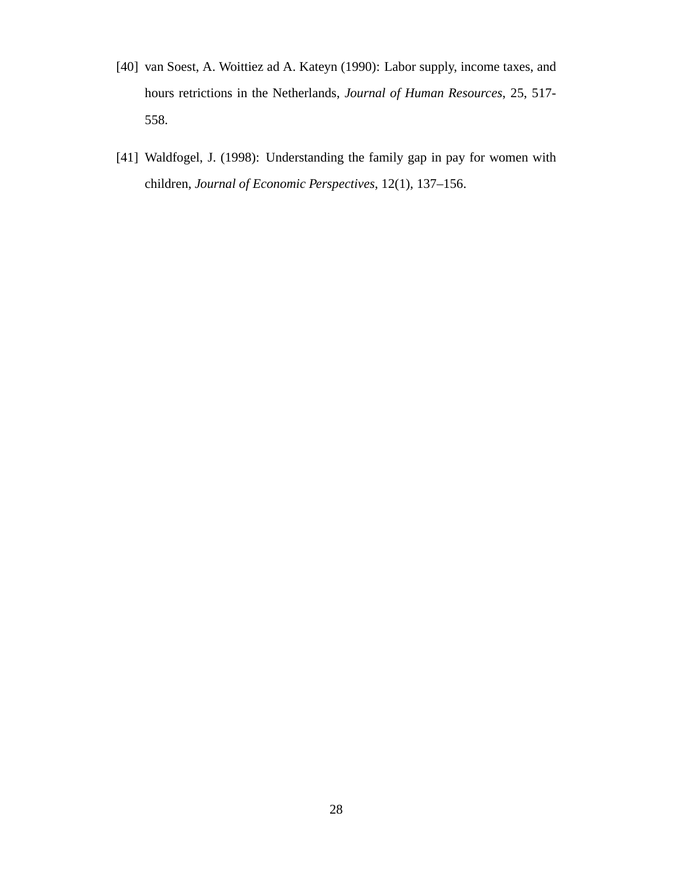- [40] van Soest, A. Woittiez ad A. Kateyn (1990): Labor supply, income taxes, and hours retrictions in the Netherlands, *Journal of Human Resources*, 25, 517- 558.
- [41] Waldfogel, J. (1998): Understanding the family gap in pay for women with children, *Journal of Economic Perspectives*, 12(1), 137–156.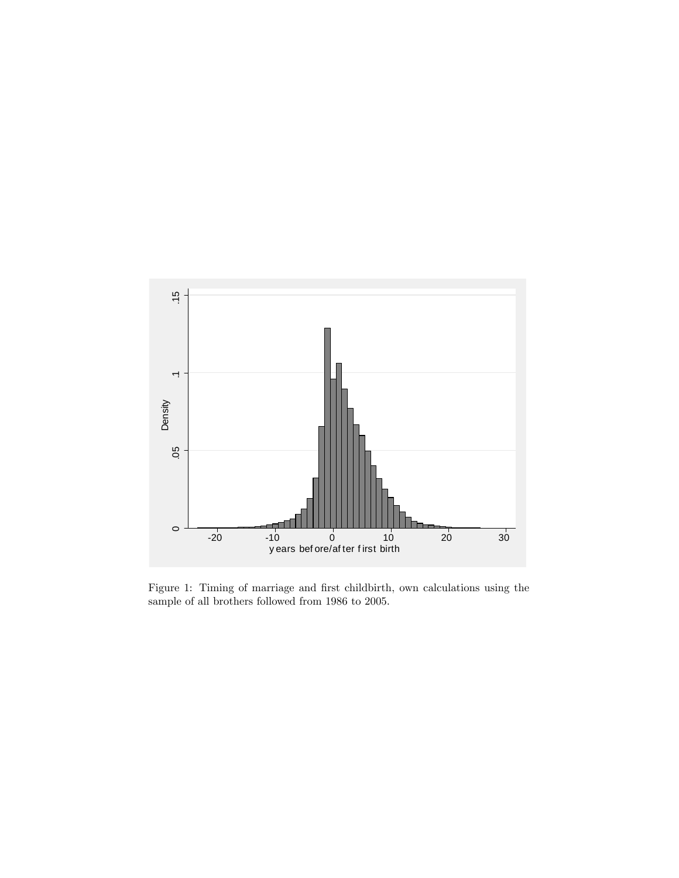

Figure 1: Timing of marriage and first childbirth, own calculations using the sample of all brothers followed from 1986 to 2005.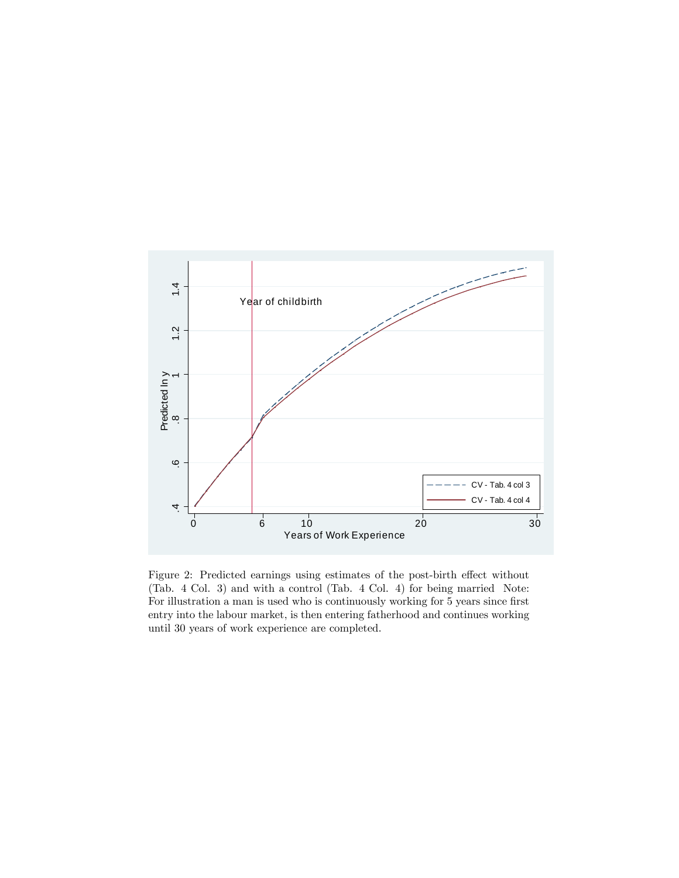

Figure 2: Predicted earnings using estimates of the post-birth effect without (Tab. 4 Col. 3) and with a control (Tab. 4 Col. 4) for being married Note: For illustration a man is used who is continuously working for 5 years since first entry into the labour market, is then entering fatherhood and continues working until 30 years of work experience are completed.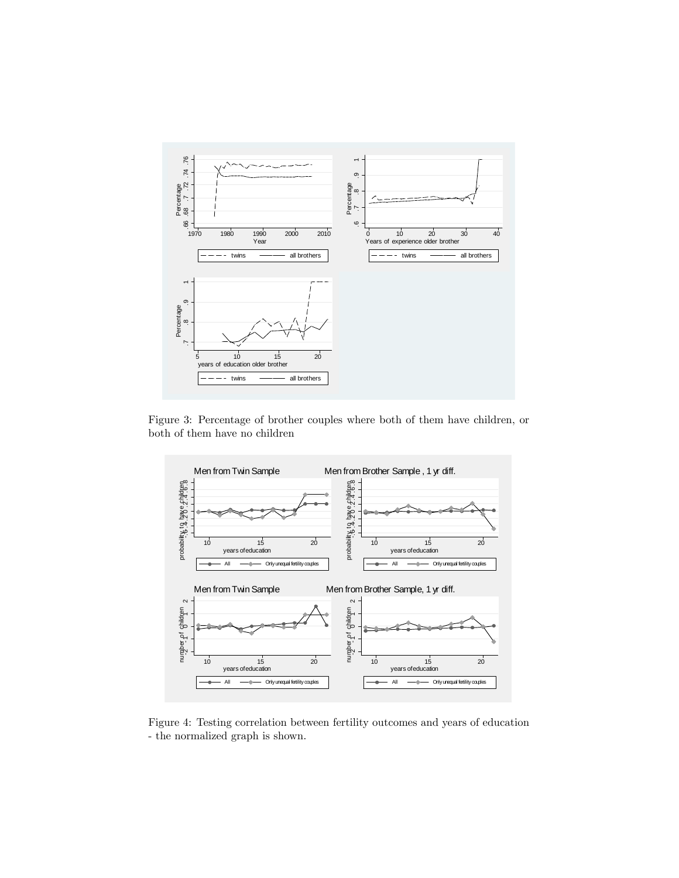

Figure 3: Percentage of brother couples where both of them have children, or both of them have no children



Figure 4: Testing correlation between fertility outcomes and years of education - the normalized graph is shown.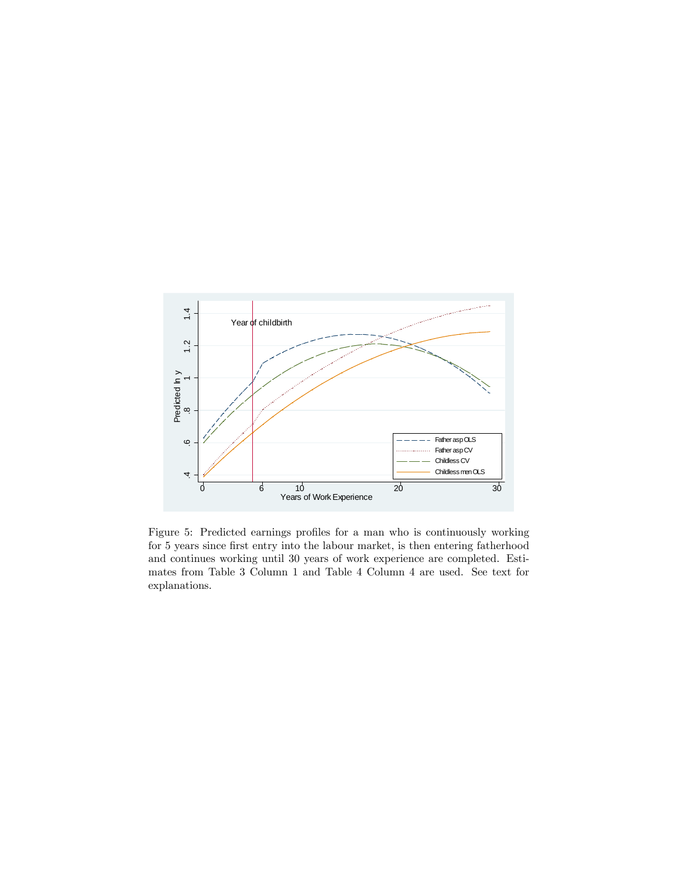

Figure 5: Predicted earnings profiles for a man who is continuously working for 5 years since first entry into the labour market, is then entering fatherhood and continues working until 30 years of work experience are completed. Estimates from Table 3 Column 1 and Table 4 Column 4 are used. See text for explanations.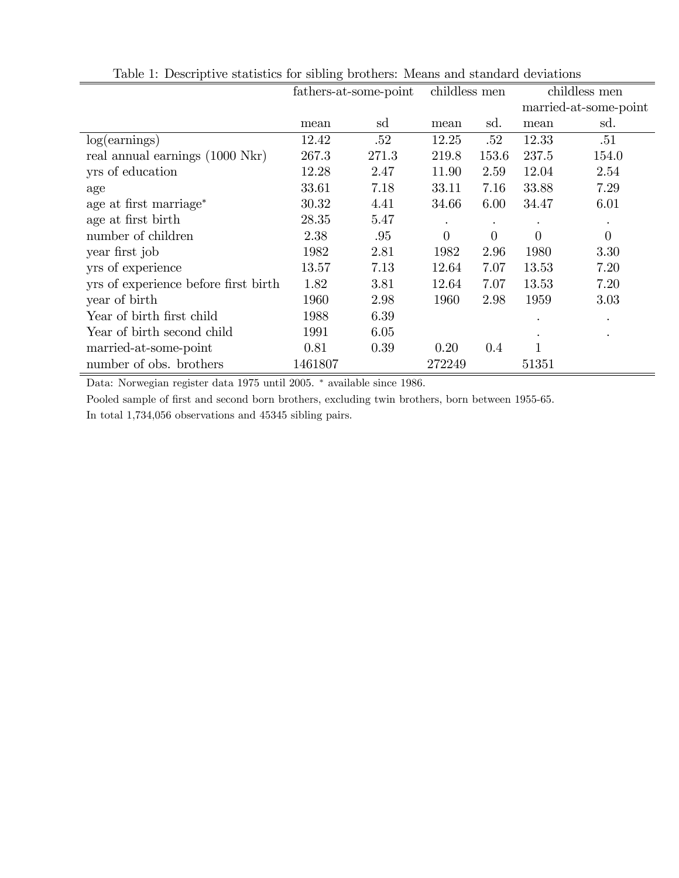|                                      |         | fathers-at-some-point | childless men |          |           | childless men         |
|--------------------------------------|---------|-----------------------|---------------|----------|-----------|-----------------------|
|                                      |         |                       |               |          |           | married-at-some-point |
|                                      | mean    | sd                    | mean          | sd.      | mean      | sd.                   |
| log(earnings)                        | 12.42   | .52                   | 12.25         | .52      | 12.33     | .51                   |
| real annual earnings (1000 Nkr)      | 267.3   | 271.3                 | 219.8         | 153.6    | 237.5     | 154.0                 |
| yrs of education                     | 12.28   | 2.47                  | 11.90         | 2.59     | 12.04     | 2.54                  |
| age                                  | 33.61   | 7.18                  | 33.11         | 7.16     | 33.88     | 7.29                  |
| age at first marriage <sup>*</sup>   | 30.32   | 4.41                  | 34.66         | 6.00     | 34.47     | 6.01                  |
| age at first birth                   | 28.35   | 5.47                  |               |          |           |                       |
| number of children                   | 2.38    | .95                   | $\theta$      | $\theta$ | $\theta$  | $\overline{0}$        |
| year first job                       | 1982    | 2.81                  | 1982          | 2.96     | 1980      | 3.30                  |
| yrs of experience                    | 13.57   | 7.13                  | 12.64         | 7.07     | 13.53     | 7.20                  |
| yrs of experience before first birth | 1.82    | 3.81                  | 12.64         | 7.07     | 13.53     | 7.20                  |
| year of birth                        | 1960    | 2.98                  | 1960          | 2.98     | 1959      | 3.03                  |
| Year of birth first child            | 1988    | 6.39                  |               |          |           | $\bullet$             |
| Year of birth second child           | 1991    | 6.05                  |               |          | $\bullet$ | $\bullet$             |
| married-at-some-point                | 0.81    | 0.39                  | 0.20          | 0.4      |           |                       |
| number of obs. brothers              | 1461807 |                       | 272249        |          | 51351     |                       |

Table 1: Descriptive statistics for sibling brothers: Means and standard deviations

Data: Norwegian register data 1975 until 2005.  $^\ast$  available since 1986.

Pooled sample of first and second born brothers, excluding twin brothers, born between 1955-65. In total 1,734,056 observations and 45345 sibling pairs.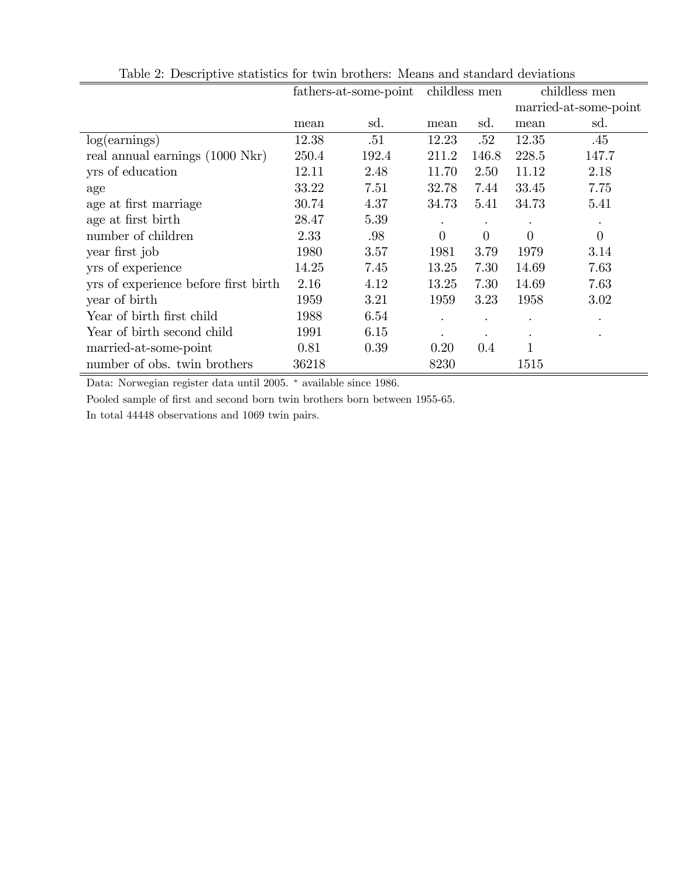|                                      |       | fathers-at-some-point |       | childless men |          | childless men         |
|--------------------------------------|-------|-----------------------|-------|---------------|----------|-----------------------|
|                                      |       |                       |       |               |          | married-at-some-point |
|                                      | mean  | sd.                   | mean  | sd.           | mean     | sd.                   |
| log(earnings)                        | 12.38 | .51                   | 12.23 | .52           | 12.35    | .45                   |
| real annual earnings (1000 Nkr)      | 250.4 | 192.4                 | 211.2 | 146.8         | 228.5    | 147.7                 |
| yrs of education                     | 12.11 | 2.48                  | 11.70 | 2.50          | 11.12    | 2.18                  |
| age                                  | 33.22 | 7.51                  | 32.78 | 7.44          | 33.45    | 7.75                  |
| age at first marriage                | 30.74 | 4.37                  | 34.73 | 5.41          | 34.73    | 5.41                  |
| age at first birth                   | 28.47 | 5.39                  |       |               |          |                       |
| number of children                   | 2.33  | .98                   | 0     | $\theta$      | $\Omega$ | $\overline{0}$        |
| year first job                       | 1980  | 3.57                  | 1981  | 3.79          | 1979     | 3.14                  |
| yrs of experience                    | 14.25 | 7.45                  | 13.25 | 7.30          | 14.69    | 7.63                  |
| yrs of experience before first birth | 2.16  | 4.12                  | 13.25 | 7.30          | 14.69    | 7.63                  |
| year of birth                        | 1959  | 3.21                  | 1959  | 3.23          | 1958     | $3.02\,$              |
| Year of birth first child            | 1988  | 6.54                  |       |               |          | $\bullet$             |
| Year of birth second child           | 1991  | 6.15                  |       |               |          |                       |
| married-at-some-point                | 0.81  | 0.39                  | 0.20  | $0.4\,$       |          |                       |
| number of obs. twin brothers         | 36218 |                       | 8230  |               | 1515     |                       |

Table 2: Descriptive statistics for twin brothers: Means and standard deviations

Data: Norwegian register data until 2005.  $*$  available since 1986.

Pooled sample of first and second born twin brothers born between 1955-65.

In total 44448 observations and 1069 twin pairs.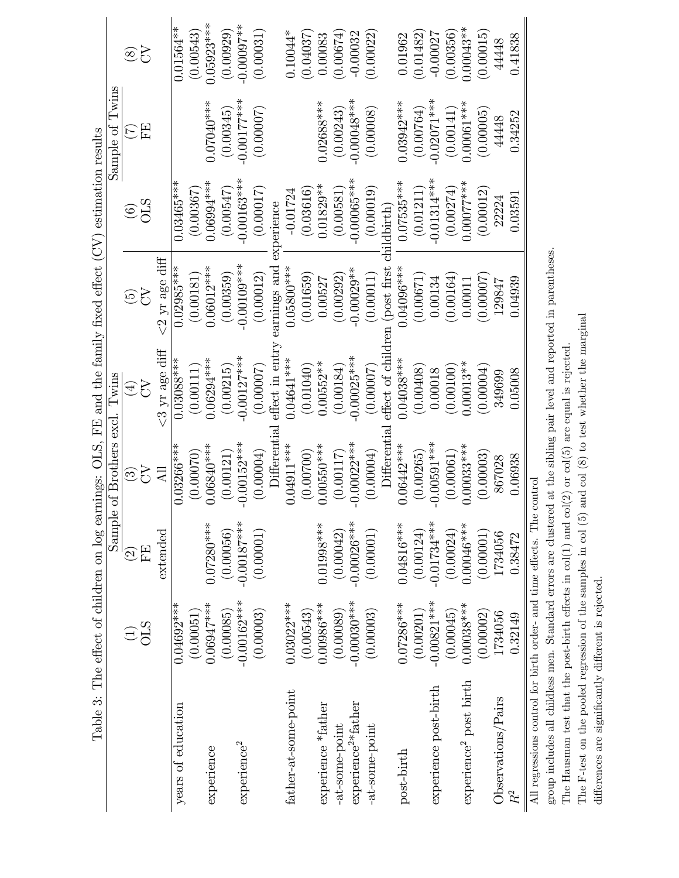|                                                                        |                |                          |                                   | Table 3: The effect of children on log earnings: OLS, FE and the family fixed effect $(CV)$ |                      | estimation results |                 |               |
|------------------------------------------------------------------------|----------------|--------------------------|-----------------------------------|---------------------------------------------------------------------------------------------|----------------------|--------------------|-----------------|---------------|
|                                                                        |                | Sample                   | of Brothers excl. Twins           |                                                                                             |                      |                    | Sample of Twins |               |
|                                                                        |                | $\widehat{\mathfrak{D}}$ | <u>ය</u>                          | $\widehat{\mathbb{F}}$                                                                      | $\widetilde{\Theta}$ | $\widehat{\odot}$  |                 | $\circledS$   |
|                                                                        | $\frac{1}{2}$  | FF,                      | 5                                 | 5                                                                                           | <b>ND</b>            | <b>STO</b>         | EE              | <b>S</b>      |
|                                                                        |                | extended                 | $\overline{AB}$                   | $<$ 3 yr age diff                                                                           | $<$ 2 yr age diff    |                    |                 |               |
| years of education                                                     | $0.04692***$   |                          | $0.03266***$                      | $0.03088***$                                                                                | $0.02985***$         | $0.03465***$       |                 | $0.01564**$   |
|                                                                        | (0.00051)      |                          | (0.00070)                         | (0.00111)                                                                                   | (0.00181)            | (0.00367)          |                 | (0.00543)     |
| experience                                                             | $0.06947***$   | $0.07280***$             | $0.06840***$                      | $0.06294***$                                                                                | $0.06012***$         | $0.06994***$       | 0.07040***      | 1.05923***    |
|                                                                        | (0.00085)      | (0.00056)                | (0.00121)                         | (0.00215)                                                                                   | (0.00359)            | (0.00547)          | (0.00345)       | (0.00929)     |
| experience <sup>2</sup>                                                | $-0.00162***$  | $-0.00187***$            | $-0.00152***$                     | $-0.00127***$                                                                               | $-0.00109$ ***       | $-0.00163***$      | $-0.00177$ ***  | $-0.00007$ ** |
|                                                                        | (0.00003)      | (0.00001)                | (0.00004)                         | (0.00007)                                                                                   | (0.00012)            | (0.00017)          | (0.00007)       | (0.00031)     |
|                                                                        |                |                          | Differentia                       | effect in enti                                                                              | earnings and         | experience         |                 |               |
| father-at-some-point                                                   | $0.03022***$   |                          | $0.04911***$                      | $0.04641***$                                                                                | $0.05800***$         | $-0.01724$         |                 | $0.10044*$    |
|                                                                        | (0.00543)      |                          | (0.00700)                         | (0.01040)                                                                                   | (0.01659)            | (0.03616)          |                 | (0.04037)     |
| experience *father                                                     | $0.00986***$   | $0.01998***$             | $0.00550***$                      | $0.00552**$                                                                                 | 0.00527              | $0.01829**$        | $0.02688***$    | 0.00083       |
| -at-some-point                                                         | (0.00089)      | (0.00042)                | (0.00117)                         | (0.00184)                                                                                   | (0.00292)            | (0.00581)          | (0.00243)       | (0.00674)     |
| experience <sup>2*</sup> father                                        | $-0.00030$ *** | $-0.00026***$            | $-0.00022***$                     | $-0.00025***$                                                                               | $-0.00029**$         | $-0.00065***$      | $-0.00048***$   | $-0.00032$    |
| -at-some-point                                                         | (0.00003)      | (0.00001)                | (0.00004)                         | (0.00007)                                                                                   | (0.00011)            | (0.00019)          | (0.00008)       | (0.00022)     |
|                                                                        |                |                          | $\mathop{\rm Different}\nolimits$ | effect of chi                                                                               | (post first          | iildbirth          |                 |               |
| post-birth                                                             | $0.07286***$   | $0.04816***$             | $0.06442***$                      | $0.04038***$                                                                                | $0.04096***$         | $0.07535***$       | 0.03942***      | 0.01962       |
|                                                                        | (0.00201)      | (0.00124)                | (0.00265)                         | (0.00408)                                                                                   | (0.00671)            | (0.01211)          | (0.00764)       | (0.01482)     |
| experience post-birth                                                  | $-0.00821***$  | $-0.01734***$            | $-0.00591***$                     | 0.00018                                                                                     | 0.00134              | $-0.01314***$      | $-0.02071***$   | $-0.00027$    |
|                                                                        | (0.00045)      | (0.00024)                | (0.00061)                         | (0.00100)                                                                                   | (0.00164)            | (0.00274)          | (0.00141)       | (0.00356)     |
| experience <sup>2</sup> post birth                                     | $0.00038***$   | $0.00046***$             | $0.00033***$                      | $0.00013**$                                                                                 | 0.00011              | $0.00077$ ***      | $0.00061***$    | $0.00043**$   |
|                                                                        | (0.00002)      | (0.00001)                | (0.00003)                         | (0.00004)                                                                                   | (0.00007)            | (0.00012)          | (0.00005)       | (0.00015)     |
| Observations/Pairs                                                     | 1734056        | 1734056                  | 867028                            | 349699                                                                                      | 129847               | 22224              | 44448           | 44448         |
| $\mathbb{R}^2$                                                         | 0.32149        | 0.38472                  | 0.06938                           | 0.05008                                                                                     | 0.04939              | 0.03591            | 0.34252         | 0.41838       |
| All regressions control for birth order- and time effects. The control |                |                          |                                   |                                                                                             |                      |                    |                 |               |

group includes all childless men. Standard errors are clustered at the sibling pair level and reported in parentheses. group includes all childless men. Standard errors are clustered at the sibling pair level and reported in parentheses.

The Hausman test that the post-birth effects in  $col(1)$  and  $col(2)$  or  $col(5)$  are equal is rejected. The Hausman test that the post-birth effects in col(1) and col(2) or col(5) are equal is rejected.

The F-test on the pooled regression of the samples in col  $(5)$  and col  $(8)$  to test whether the marginal The F-test on the pooled regression of the samples in col (5) and col (8) to test whether the marginal differences are significantly different is rejected. differences are significantly different is rejected.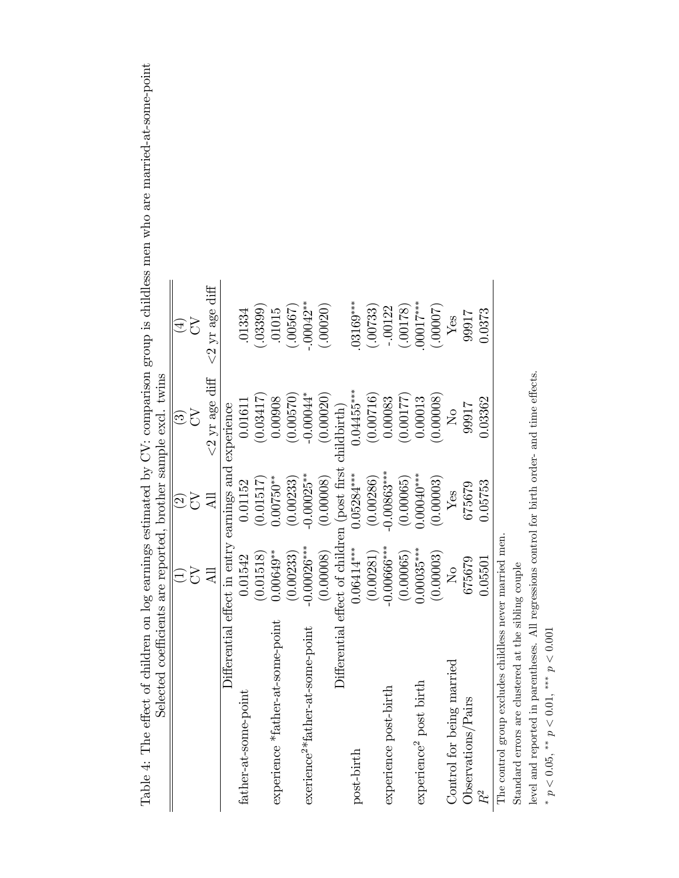| Selected coefficients are reported, brother sample excl. twins |                                             |                           |                          |                      |
|----------------------------------------------------------------|---------------------------------------------|---------------------------|--------------------------|----------------------|
|                                                                |                                             | $\widetilde{\mathcal{O}}$ | $\widehat{\mathfrak{S}}$ | $\widehat{\pm}$      |
|                                                                | 5                                           | R                         | 75                       | 75                   |
|                                                                | $\overline{AB}$                             |                           | $<\!\!2$ yr age diff     | $<\!\!2$ yr age diff |
|                                                                | Differential effect in entry earnings and   |                           | experience               |                      |
| father-at-some-point                                           | 0.01542                                     | 0.01152                   | 0.01611                  | .01334               |
|                                                                | (0.01518)                                   | (0.01517)                 | (0.03417)                | (.03399)             |
| experience *father-at-some-point                               | $0.00649**$                                 | $0.00750***$              | 0.00908                  | .01015               |
|                                                                | (0.00233)                                   | (0.00233)                 | (0.00570)                | .00567               |
| exerience <sup>2*</sup> father-at-some-point                   | $-0.00026***$                               | $-0.00025**$              | $-0.00044$ *             | $-00042**$           |
|                                                                | (0.00008)                                   | (0.00008)                 | (0.00020)                | (.00020)             |
|                                                                | Differential effect of children (post first |                           | childbirth)              |                      |
| post-birth                                                     | $0.06414***$                                | $0.05284***$              | $0.04455***$             | $03169***$           |
|                                                                | (0.00281)                                   | (0.00286)                 | (0.00716)                | (00733)              |
| experience post-birth                                          | $-0.00666***$                               | $-0.00863***$             | 0.00083                  | 00122                |
|                                                                | (0.00065)                                   | (0.00065)                 | (0.00177)                | (82100.              |
| experience <sup>2</sup> post birth                             | $0.00035***$                                | $0.00040***$              | 0.00013                  | $00017***$           |
|                                                                | (0.00003)                                   | (0.00003)                 | (0.00008)                | (00007)              |
| Control for being married                                      | $\overline{\mathsf{X}}$                     | Yes                       | $\overline{\mathsf{z}}$  | Yes                  |
| Observations/Pairs                                             | 675679                                      | 675679                    | 99917                    | 99917                |
|                                                                | 0.05501                                     | 0.05753                   | 0.03362                  | 0.0373               |
| The control group excludes childless never married men         |                                             |                           |                          |                      |

Table 4: The effect of children on log earnings estimated by CV: comparison group is childless men who are married-at-some-point Table 4: The effect of children on log earnings estimated by CV: comparison group is childless men who are married-at-some-point

Standard errors are clustered at the sibling couple Standard errors are clustered at the sibling couple

level and reported in parentheses. All regressions control for birth order- and time effects. level and reported in parentheses. All regressions control for birth order- and time effects.

\*  $p < 0.05$ , \*\*  $p < 0.01$ , \*\*\*  $p < 0.001$ \*  $p < 0.05$ , \*\*  $p < 0.01$ , \*\*\*  $p < 0.001$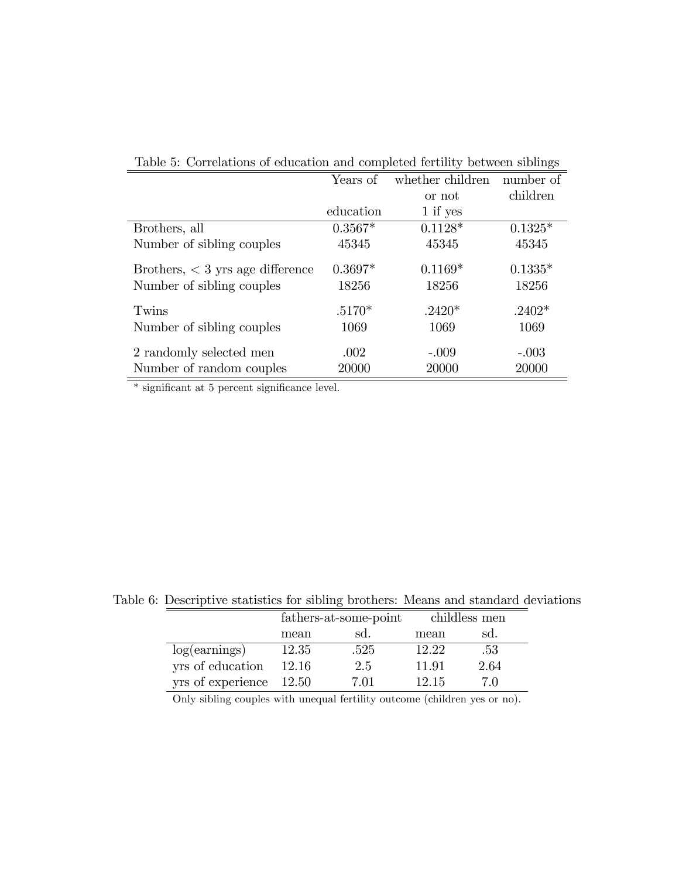|                                    | Years of  | whether children | number of |
|------------------------------------|-----------|------------------|-----------|
|                                    |           | or not           | children  |
|                                    | education | $1$ if yes       |           |
| Brothers, all                      | $0.3567*$ | $0.1128*$        | $0.1325*$ |
| Number of sibling couples          | 45345     | 45345            | 45345     |
| Brothers, $<$ 3 yrs age difference | $0.3697*$ | $0.1169*$        | $0.1335*$ |
| Number of sibling couples          | 18256     | 18256            | 18256     |
| Twins                              | $.5170*$  | $.2420*$         | $.2402*$  |
| Number of sibling couples          | 1069      | 1069             | 1069      |
| 2 randomly selected men            | .002      | $-.009$          | $-.003$   |
| Number of random couples           | 20000     | 20000            | 20000     |

Table 5: Correlations of education and completed fertility between siblings

 $*$  significant at 5 percent significance level.

|                           |       | fathers-at-some-point |       | childless men |
|---------------------------|-------|-----------------------|-------|---------------|
|                           | mean  | sd.                   | mean  | sd.           |
| log(earnings)             | 12.35 | .525                  | 12.22 | -53           |
| yrs of education          | 12.16 | 2.5                   | 11.91 | 2.64          |
| yrs of experience $12.50$ |       | 7 01                  | 12.15 | 7 O           |

Table 6: Descriptive statistics for sibling brothers: Means and standard deviations

Only sibling couples with unequal fertility outcome (children yes or no).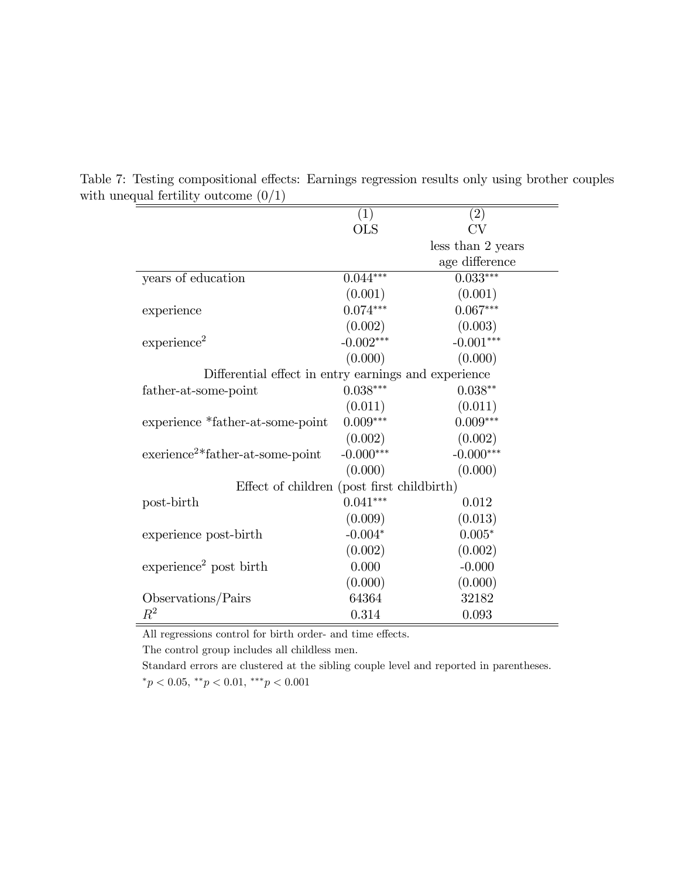|                                                      | (1)          | $\left( 2\right)$ |
|------------------------------------------------------|--------------|-------------------|
|                                                      | $_{\rm OLS}$ | CV                |
|                                                      |              | less than 2 years |
|                                                      |              | age difference    |
| years of education                                   | $0.044***$   | $0.033***$        |
|                                                      | (0.001)      | (0.001)           |
| experience                                           | $0.074***$   | $0.067***$        |
|                                                      | (0.002)      | (0.003)           |
| experience <sup>2</sup>                              | $-0.002***$  | $-0.001***$       |
|                                                      | (0.000)      | (0.000)           |
| Differential effect in entry earnings and experience |              |                   |
| father-at-some-point                                 | $0.038***$   | $0.038**$         |
|                                                      | (0.011)      | (0.011)           |
| experience *father-at-some-point                     | $0.009***$   | $0.009***$        |
|                                                      | (0.002)      | (0.002)           |
| exerience <sup>2*</sup> father-at-some-point         | $-0.000***$  | $-0.000***$       |
|                                                      | (0.000)      | (0.000)           |
| Effect of children (post first childbirth)           |              |                   |
| post-birth                                           | $0.041***$   | 0.012             |
|                                                      | (0.009)      | (0.013)           |
| experience post-birth                                | $-0.004*$    | $0.005*$          |
|                                                      | (0.002)      | (0.002)           |
| experience <sup>2</sup> post birth                   | 0.000        | $-0.000$          |
|                                                      | (0.000)      | (0.000)           |
| Observations/Pairs                                   | 64364        | 32182             |
| $\mathbb{R}^2$                                       | 0.314        | 0.093             |

Table 7: Testing compositional effects: Earnings regression results only using brother couples with unequal fertility outcome  $(0/1)$ 

All regressions control for birth order- and time effects.  $\;$ 

The control group includes all childless men.

Standard errors are clustered at the sibling couple level and reported in parentheses.  $p < 0.05, r^*p < 0.01, r^*p < 0.001$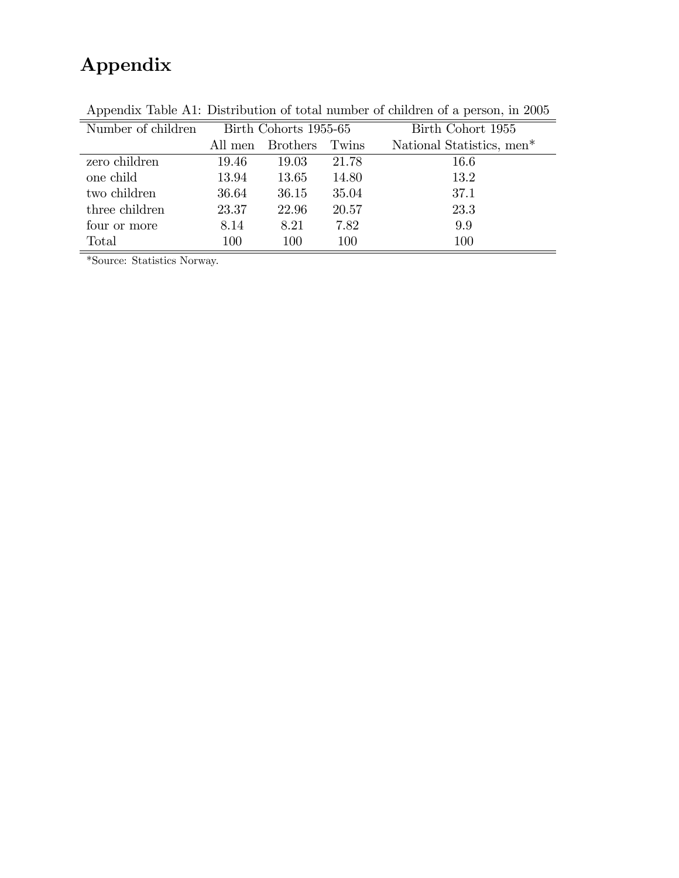# Appendix

| Number of children |         | Birth Cohorts 1955-65 |       | Birth Cohort 1955         |
|--------------------|---------|-----------------------|-------|---------------------------|
|                    | All men | <b>Brothers</b>       | Twins | National Statistics, men* |
| zero children      | 19.46   | 19.03                 | 21.78 | 16.6                      |
| one child          | 13.94   | 13.65                 | 14.80 | 13.2                      |
| two children       | 36.64   | 36.15                 | 35.04 | 37.1                      |
| three children     | 23.37   | 22.96                 | 20.57 | 23.3                      |
| four or more       | 8.14    | 8.21                  | 7.82  | 9.9                       |
| Total              | 100     | 100                   | 100   | 100                       |

Appendix Table A1: Distribution of total number of children of a person, in 2005

\*Source: Statistics Norway.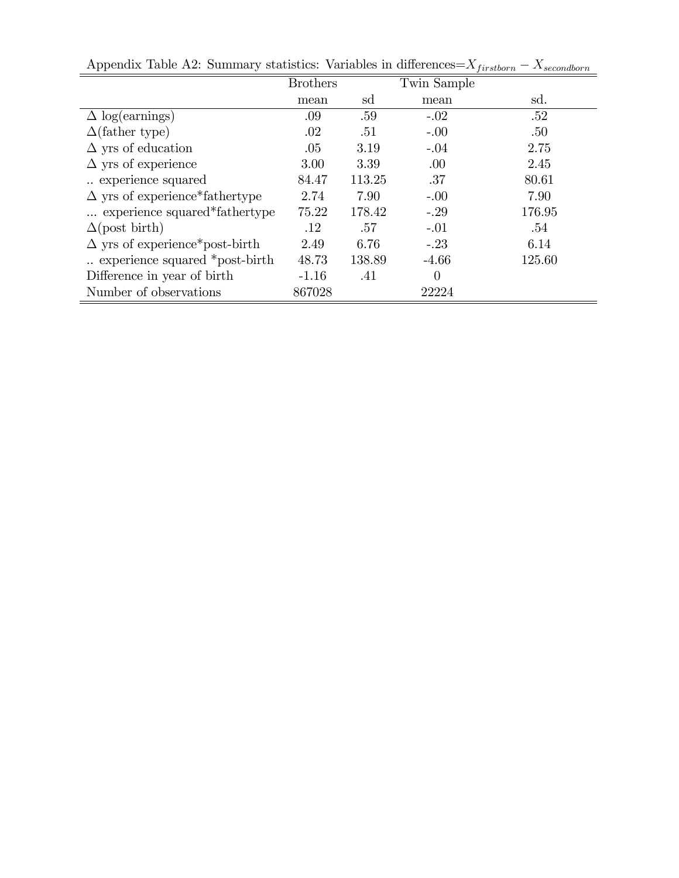| . .                                   | <b>Brothers</b> |        | Twin Sample |        |
|---------------------------------------|-----------------|--------|-------------|--------|
|                                       | mean            | sd     | mean        | sd.    |
| $\Delta$ log(earnings)                | .09             | .59    | $-.02$      | .52    |
| $\Delta$ (father type)                | .02             | .51    | $-.00$      | .50    |
| $\Delta$ yrs of education             | .05             | 3.19   | $-.04$      | 2.75   |
| $\Delta$ yrs of experience            | 3.00            | 3.39   | .00.        | 2.45   |
| experience squared                    | 84.47           | 113.25 | .37         | 80.61  |
| $\Delta$ yrs of experience*fathertype | 2.74            | 7.90   | $-.00$      | 7.90   |
| experience squared*fathertype         | 75.22           | 178.42 | $-.29$      | 176.95 |
| $\Delta$ (post birth)                 | .12             | .57    | $-.01$      | .54    |
| $\Delta$ yrs of experience*post-birth | 2.49            | 6.76   | $-.23$      | 6.14   |
| experience squared *post-birth        | 48.73           | 138.89 | $-4.66$     | 125.60 |
| Difference in year of birth           | $-1.16$         | .41    | $\theta$    |        |
| Number of observations                | 867028          |        | 22224       |        |

Appendix Table A2: Summary statistics: Variables in differences= $X_{firstborn} - X_{secondborn}$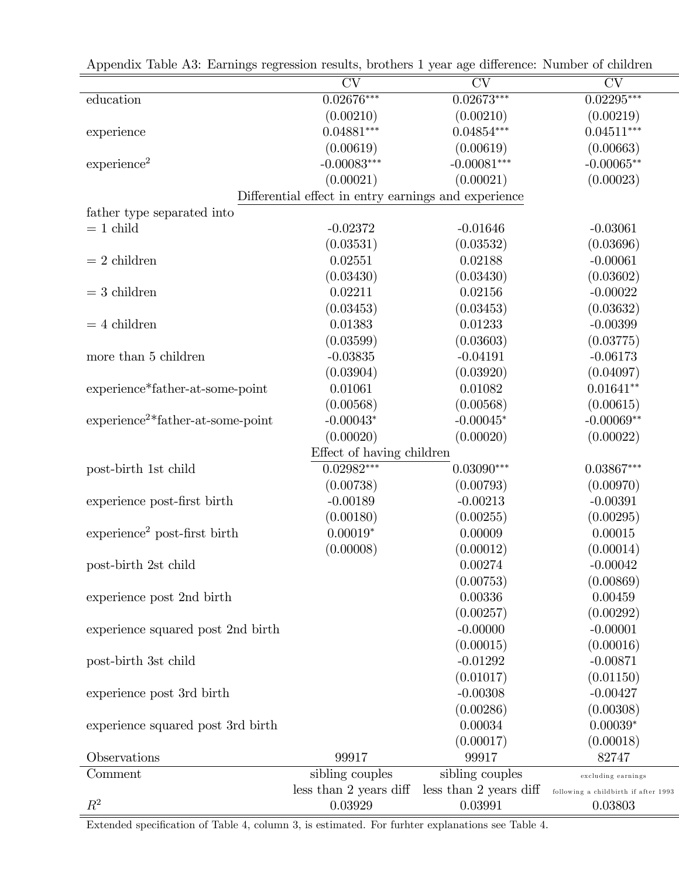| reponding radio rio. Earnings regression results, sroutely r year ago unicrence. Fullhour or emitted |                                                      |                        |                                      |
|------------------------------------------------------------------------------------------------------|------------------------------------------------------|------------------------|--------------------------------------|
|                                                                                                      | $\overline{\text{CV}}$                               | CV                     | CV                                   |
| education                                                                                            | $0.02676***$                                         | $0.02673***$           | $0.02295***$                         |
|                                                                                                      | (0.00210)                                            | (0.00210)              | (0.00219)                            |
| experience                                                                                           | $0.04881***$                                         | $0.04854***$           | $0.04511***$                         |
|                                                                                                      | (0.00619)                                            | (0.00619)              | (0.00663)                            |
| experience <sup>2</sup>                                                                              | $-0.00083***$                                        | $-0.00081***$          | $-0.00065**$                         |
|                                                                                                      | (0.00021)                                            | (0.00021)              | (0.00023)                            |
|                                                                                                      | Differential effect in entry earnings and experience |                        |                                      |
| father type separated into                                                                           |                                                      |                        |                                      |
| $= 1$ child                                                                                          | $-0.02372$                                           | $-0.01646$             | $-0.03061$                           |
|                                                                                                      | (0.03531)                                            | (0.03532)              | (0.03696)                            |
| $= 2$ children                                                                                       | 0.02551                                              | 0.02188                | $-0.00061$                           |
|                                                                                                      | (0.03430)                                            | (0.03430)              | (0.03602)                            |
| $=$ 3 children                                                                                       | 0.02211                                              | 0.02156                | $-0.00022$                           |
|                                                                                                      | (0.03453)                                            | (0.03453)              | (0.03632)                            |
| $= 4$ children                                                                                       | 0.01383                                              | 0.01233                | $-0.00399$                           |
|                                                                                                      | (0.03599)                                            | (0.03603)              | (0.03775)                            |
| more than 5 children                                                                                 | $-0.03835$                                           | $-0.04191$             | $-0.06173$                           |
|                                                                                                      | (0.03904)                                            | (0.03920)              | (0.04097)                            |
| experience*father-at-some-point                                                                      | 0.01061                                              | 0.01082                | $0.01641**$                          |
|                                                                                                      | (0.00568)                                            | (0.00568)              | (0.00615)                            |
| $experience2*father-at-some-point$                                                                   | $-0.00043*$                                          | $-0.00045*$            | $-0.00069**$                         |
|                                                                                                      | (0.00020)                                            | (0.00020)              | (0.00022)                            |
|                                                                                                      | Effect of having children                            |                        |                                      |
| post-birth 1st child                                                                                 | $0.02982***$                                         | $0.03090***$           | $0.03867***$                         |
|                                                                                                      | (0.00738)                                            | (0.00793)              | (0.00970)                            |
| experience post-first birth                                                                          | $-0.00189$                                           | $-0.00213$             | $-0.00391$                           |
|                                                                                                      | (0.00180)                                            | (0.00255)              | (0.00295)                            |
| $experience2 post-first birth$                                                                       | $0.00019*$                                           | 0.00009                | 0.00015                              |
|                                                                                                      | (0.00008)                                            | (0.00012)              | (0.00014)                            |
| post-birth 2st child                                                                                 |                                                      | 0.00274                | $-0.00042$                           |
|                                                                                                      |                                                      | (0.00753)              | (0.00869)                            |
| experience post 2nd birth                                                                            |                                                      | 0.00336                | 0.00459                              |
|                                                                                                      |                                                      | (0.00257)              | (0.00292)                            |
| experience squared post 2nd birth                                                                    |                                                      | $-0.00000$             | $-0.00001$                           |
|                                                                                                      |                                                      | (0.00015)              | (0.00016)                            |
| post-birth 3st child                                                                                 |                                                      | $-0.01292$             | $-0.00871$                           |
|                                                                                                      |                                                      | (0.01017)              | (0.01150)                            |
| experience post 3rd birth                                                                            |                                                      | $-0.00308$             | $-0.00427$                           |
|                                                                                                      |                                                      | (0.00286)              | (0.00308)                            |
| experience squared post 3rd birth                                                                    |                                                      | 0.00034                | $0.00039*$                           |
|                                                                                                      |                                                      | (0.00017)              | (0.00018)                            |
| Observations                                                                                         | 99917                                                | 99917                  | 82747                                |
| Comment                                                                                              | sibling couples                                      | sibling couples        | excluding earnings                   |
|                                                                                                      | less than 2 years diff                               | less than 2 years diff | following a childbirth if after 1993 |
| $R^2$                                                                                                | 0.03929                                              | 0.03991                | 0.03803                              |
|                                                                                                      |                                                      |                        |                                      |

Appendix Table A3: Earnings regression results, brothers 1 year age difference: Number of children

Extended specification of Table 4, column 3, is estimated. For furhter explanations see Table 4.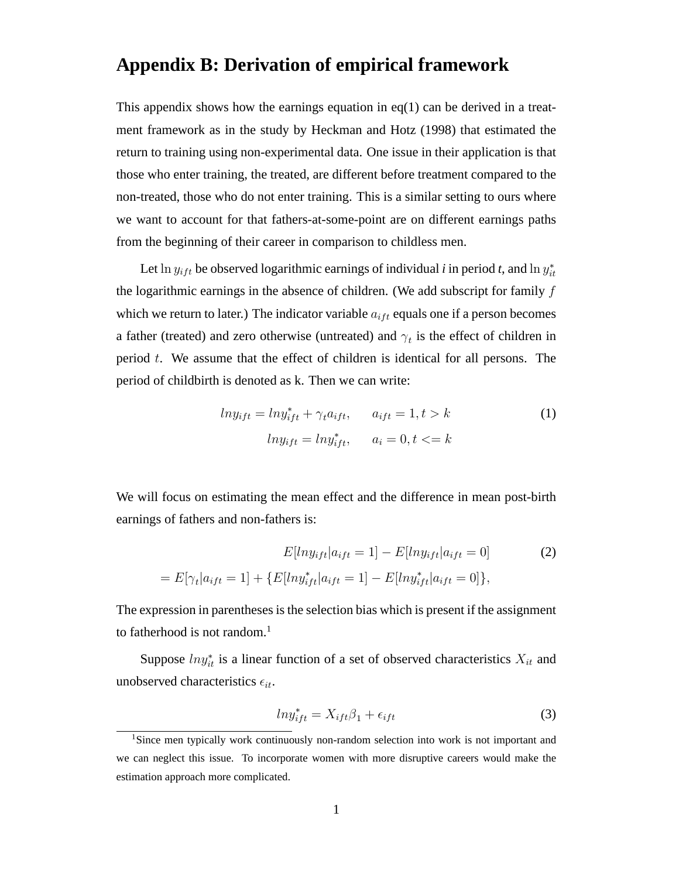### **Appendix B: Derivation of empirical framework**

This appendix shows how the earnings equation in  $eq(1)$  can be derived in a treatment framework as in the study by Heckman and Hotz (1998) that estimated the return to training using non-experimental data. One issue in their application is that those who enter training, the treated, are different before treatment compared to the non-treated, those who do not enter training. This is a similar setting to ours where we want to account for that fathers-at-some-point are on different earnings paths from the beginning of their career in comparison to childless men.

Let  $\ln y_{if}$  be observed logarithmic earnings of individual *i* in period *t*, and  $\ln y_{it}^*$ the logarithmic earnings in the absence of children. (We add subscript for family  $f$ which we return to later.) The indicator variable  $a_{if}$  equals one if a person becomes a father (treated) and zero otherwise (untreated) and  $\gamma_t$  is the effect of children in period t. We assume that the effect of children is identical for all persons. The period of childbirth is denoted as k. Then we can write:

$$
ln y_{ift} = ln y_{ift}^* + \gamma_t a_{ift}, \qquad a_{ift} = 1, t > k
$$
  
\n
$$
ln y_{ift} = ln y_{ift}^*, \qquad a_i = 0, t < k
$$
 (1)

We will focus on estimating the mean effect and the difference in mean post-birth earnings of fathers and non-fathers is:

$$
E[lny_{ift}|a_{ift} = 1] - E[lny_{ift}|a_{ift} = 0]
$$
\n
$$
= E[\gamma_t|a_{ift} = 1] + \{E[lny_{ift}^*|a_{ift} = 1] - E[lny_{ift}^*|a_{ift} = 0]\},
$$
\n(2)

The expression in parentheses is the selection bias which is present if the assignment to fatherhood is not random.<sup>1</sup>

Suppose  $ln y_{it}^*$  is a linear function of a set of observed characteristics  $X_{it}$  and unobserved characteristics  $\epsilon_{it}$ .

$$
ln y_{ift}^* = X_{ift} \beta_1 + \epsilon_{ift} \tag{3}
$$

<sup>1</sup>Since men typically work continuously non-random selection into work is not important and we can neglect this issue. To incorporate women with more disruptive careers would make the estimation approach more complicated.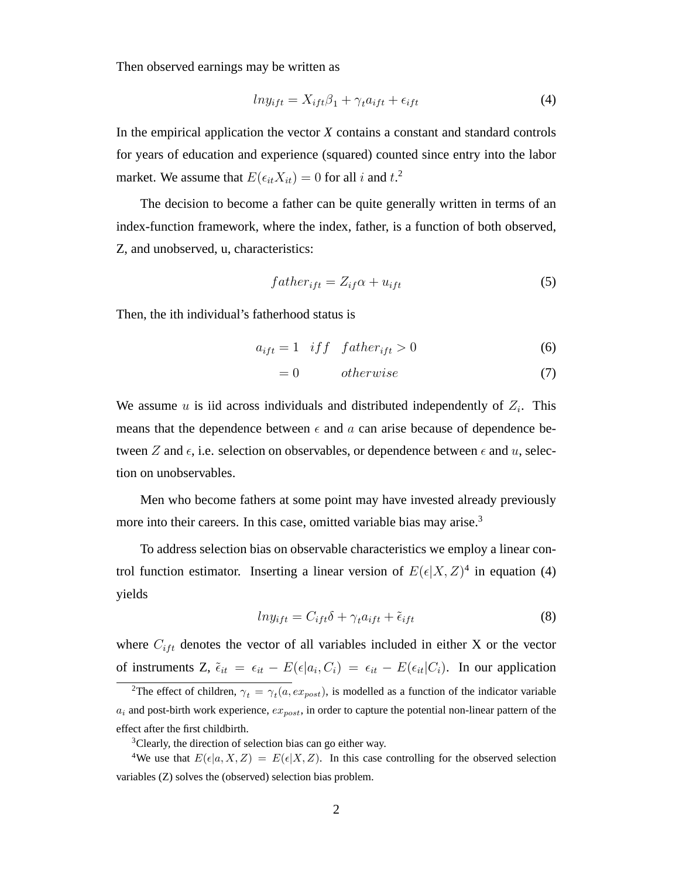Then observed earnings may be written as

$$
ln y_{ift} = X_{ift} \beta_1 + \gamma_t a_{ift} + \epsilon_{ift} \tag{4}
$$

In the empirical application the vector *X* contains a constant and standard controls for years of education and experience (squared) counted since entry into the labor market. We assume that  $E(\epsilon_{it}X_{it}) = 0$  for all i and  $t$ <sup>2</sup>.

The decision to become a father can be quite generally written in terms of an index-function framework, where the index, father, is a function of both observed, Z, and unobserved, u, characteristics:

$$
father_{ift} = Z_{if}\alpha + u_{ift} \tag{5}
$$

Then, the ith individual's fatherhood status is

$$
a_{ift} = 1 \quad if \quad f \quad father_{ift} > 0 \tag{6}
$$

$$
= 0 \t otherwise \t(7)
$$

We assume  $u$  is iid across individuals and distributed independently of  $Z_i$ . This means that the dependence between  $\epsilon$  and a can arise because of dependence between Z and  $\epsilon$ , i.e. selection on observables, or dependence between  $\epsilon$  and  $u$ , selection on unobservables.

Men who become fathers at some point may have invested already previously more into their careers. In this case, omitted variable bias may arise.<sup>3</sup>

To address selection bias on observable characteristics we employ a linear control function estimator. Inserting a linear version of  $E(\epsilon|X, Z)^4$  in equation (4) yields

$$
ln y_{ift} = C_{ift} \delta + \gamma_t a_{ift} + \tilde{\epsilon}_{ift}
$$
 (8)

where  $C_{ift}$  denotes the vector of all variables included in either X or the vector of instruments Z,  $\tilde{\epsilon}_{it} = \epsilon_{it} - E(\epsilon | a_i, C_i) = \epsilon_{it} - E(\epsilon_{it} | C_i)$ . In our application

<sup>&</sup>lt;sup>2</sup>The effect of children,  $\gamma_t = \gamma_t(a, ex_{post})$ , is modelled as a function of the indicator variable  $a_i$  and post-birth work experience,  $ex_{post}$ , in order to capture the potential non-linear pattern of the effect after the first childbirth.

<sup>3</sup>Clearly, the direction of selection bias can go either way.

<sup>&</sup>lt;sup>4</sup>We use that  $E(\epsilon|a, X, Z) = E(\epsilon|X, Z)$ . In this case controlling for the observed selection variables (Z) solves the (observed) selection bias problem.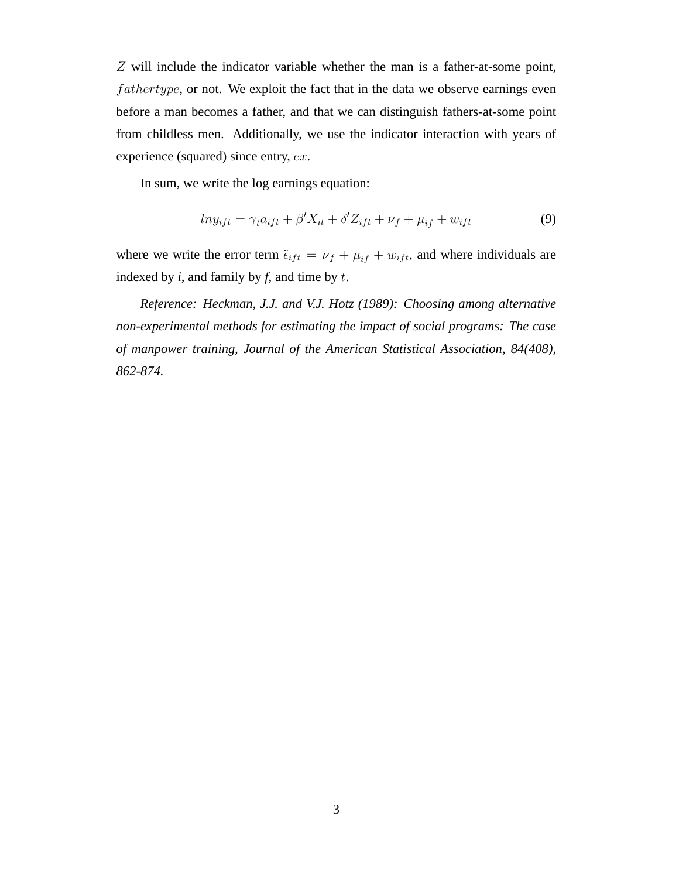Z will include the indicator variable whether the man is a father-at-some point,  $fathertype$ , or not. We exploit the fact that in the data we observe earnings even before a man becomes a father, and that we can distinguish fathers-at-some point from childless men. Additionally, we use the indicator interaction with years of experience (squared) since entry, ex.

In sum, we write the log earnings equation:

$$
ln y_{ift} = \gamma_t a_{ift} + \beta' X_{it} + \delta' Z_{ift} + \nu_f + \mu_{if} + w_{ift}
$$
\n(9)

where we write the error term  $\tilde{\epsilon}_{ift} = \nu_f + \mu_{if} + w_{ift}$ , and where individuals are indexed by *i*, and family by *f*, and time by t.

*Reference: Heckman, J.J. and V.J. Hotz (1989): Choosing among alternative non-experimental methods for estimating the impact of social programs: The case of manpower training, Journal of the American Statistical Association, 84(408), 862-874.*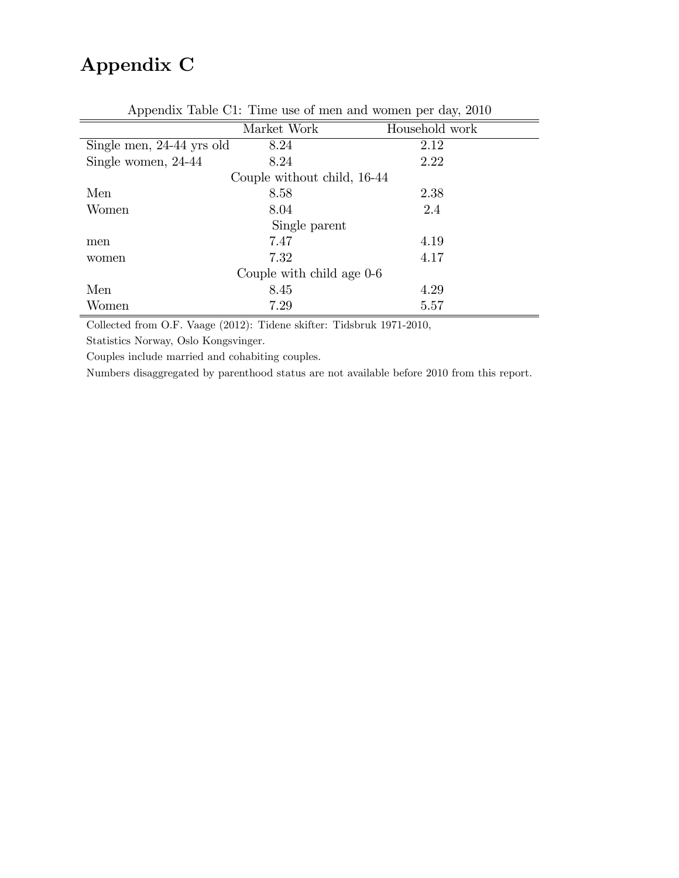# Appendix C

|                           |                             | $\frac{1}{2}$  |
|---------------------------|-----------------------------|----------------|
|                           | Market Work                 | Household work |
| Single men, 24-44 yrs old | 8.24                        | 2.12           |
| Single women, 24-44       | 8.24                        | 2.22           |
|                           | Couple without child, 16-44 |                |
| Men                       | 8.58                        | 2.38           |
| Women                     | 8.04                        | 2.4            |
|                           | Single parent               |                |
| men                       | 7.47                        | 4.19           |
| women                     | 7.32                        | 4.17           |
|                           | Couple with child age 0-6   |                |
| Men                       | 8.45                        | 4.29           |
| Women                     | 7.29                        | 5.57           |

Appendix Table C1: Time use of men and women per day, 2010

Collected from O.F. Vaage (2012): Tidene skifter: Tidsbruk 1971-2010,

Statistics Norway, Oslo Kongsvinger.

Couples include married and cohabiting couples.

Numbers disaggregated by parenthood status are not available before 2010 from this report.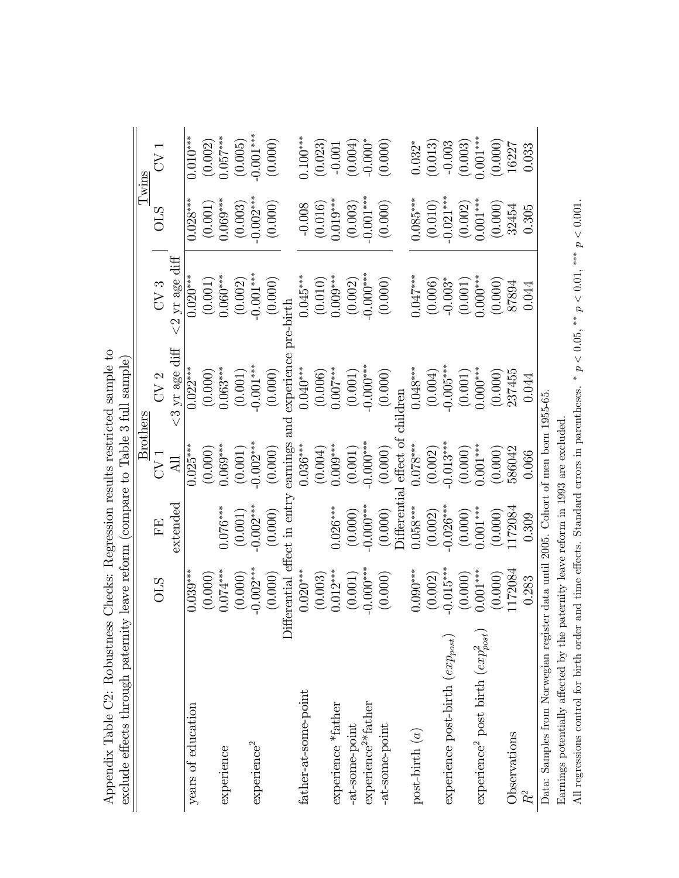| exclude effects through paternity leave reform (compare to Table 3 full sample)   |                              |                          |                        |                          |                         |                                                                                  |                       |
|-----------------------------------------------------------------------------------|------------------------------|--------------------------|------------------------|--------------------------|-------------------------|----------------------------------------------------------------------------------|-----------------------|
|                                                                                   |                              |                          | ${\rm Brothers}$       |                          |                         | Tw <u>ins</u>                                                                    |                       |
|                                                                                   | STO                          | EE                       | J<br>27                | CV <sub>2</sub>          | CV3                     | STO                                                                              | $\rm{CV}$             |
|                                                                                   |                              | extended                 | $\overline{AB}$        | $<$ 3 yr age diff        | $<\!\!2$ yr age diff    |                                                                                  |                       |
| years of education                                                                | $0.039***$                   |                          | $0.025***$             | $0.022***$               | $0.020***$              | $0.028***$                                                                       | $0.010***$            |
|                                                                                   | $(0.000)$<br>0.074***        |                          | (0.000)                | $(0.000)$                | $(0.001)$<br>$0.060***$ |                                                                                  |                       |
| experience                                                                        |                              | $0.076***$               | $0.069***$             | $0.063***$               |                         | $(0.001)$<br>$0.069***$                                                          | $(0.002)$<br>0.057*** |
|                                                                                   | (0.000)                      | (0.001)                  | (0.001)                | (0.001)                  | (0.002)                 | (0.003)                                                                          | (0.005)               |
| experience <sup>2</sup>                                                           | $-0.002***$                  | $-0.002***$              | $-0.002***$            | $-0.001***$              | $-0.001***$             | $-0.002***$                                                                      | $0.001***$            |
|                                                                                   | (0.000)                      | (0.000)                  | (0.000)                | (0.000)                  | (0.000)                 | (0.000)                                                                          | (0.000)               |
|                                                                                   | Differential effect in entry |                          | earnings               | experience<br>$\rm{and}$ | $-birth$                |                                                                                  |                       |
| father-at-some-point                                                              | $0.020***$                   |                          | $0.036***$             | $0.040***$               | $0.045***$              | $-0.008$                                                                         | $0.100***$            |
|                                                                                   | (0.003)                      |                          | (0.004)                | $(0.006)$<br>0.007***    |                         |                                                                                  | (0.023)               |
| experience *father                                                                | $0.012***$                   | $0.026***$               | $0.009***$             |                          | $(0.010)$<br>$0.009***$ | $(0.016)$<br>$0.019***$<br>$(0.003)$                                             | $-0.001$              |
| -at-some-point                                                                    | (0.001)                      | (0.000)                  | (0.001)                | (0.001)                  | (0.002)                 |                                                                                  | (0.004)               |
| experience <sup>2*</sup> father                                                   | $-0.000***$                  | $0.000***$               | $0.000***$             | $-0.000***$              | $-0.000***$             | $0.001***$                                                                       | $-0.000*$             |
| -at-some-point                                                                    | (0.000)                      | (0.000)                  | (0.000)                | (0.000)                  | (0.000)                 | (0.000)                                                                          | (0.000)               |
|                                                                                   |                              | <b>Differential</b>      | effect of              | ildren                   |                         |                                                                                  |                       |
| post-birth $(a)$                                                                  | $0.090***$                   | $0.058***$               | $0.078***$             | $0.048***$               | $0.047***$              | $0.085***$                                                                       | $0.032*$              |
|                                                                                   | (0.002)                      | $(0.002)$<br>$-0.026***$ | $(0.002)$<br>-0.013*** | $(0.004)$<br>-0.005***   | (0.006)                 | $\begin{array}{c} (0.010) \\ -0.021^{***} \\ (0.002) \\ 0.001^{***} \end{array}$ | (0.013)               |
| experience post-birth $(exp_{post})$                                              | $0.015***$                   |                          |                        |                          | $-0.003*$               |                                                                                  | $-0.003$              |
|                                                                                   | (0.000)                      | $(0.000)$                | (0.000)                | (0.001)                  | $(0.001)$               |                                                                                  | (0.003)               |
| $\exp$ eperience<br>² post birth $(exp_{post}^2)$                                 | $0.001***$                   | $0.001***$               | $0.001***$             | $0.000***$               | $0.000***$              |                                                                                  | $0.001***$            |
|                                                                                   | (0.000)                      | $(0.000)$<br>1172084     | (0.000)                | (0.000)                  | (0.000)                 | $\left(0.000\right)$ 32454                                                       | (0.000)               |
| Observations                                                                      | 172084                       |                          | 586042                 | 237455                   | 87894                   |                                                                                  | 16227                 |
| $R^2$                                                                             | 0.283                        | 0.309                    | 0.066                  | 0.044                    | 0.044                   | 0.305                                                                            | 0.033                 |
| Data: Samples from Norwegian register data until 2005. Cohort of men born 1955-65 |                              |                          |                        |                          |                         |                                                                                  |                       |

Appendix Table C2: Robustness Checks: Regression results restricted sample to Appendix Table C2: Robustness Checks: Regression results restricted sample to Earnings potentially affected by the paternity leave reform in 1993 are excluded. Earnings potentially affected by the paternity leave reform in 1993 are excluded.

All regressions control for birth order and time effects. Standard errors in parentheses. All regressions control for birth order and time effects. Standard errors in parentheses. \*  $p < 0.05$ , \*\*  $p < 0.01$ , \*\*\*  $p < 0.001$ . \*  $p < 0.05$ , \*\*  $p < 0.01$ , \*\*\*  $p < 0.001$ .